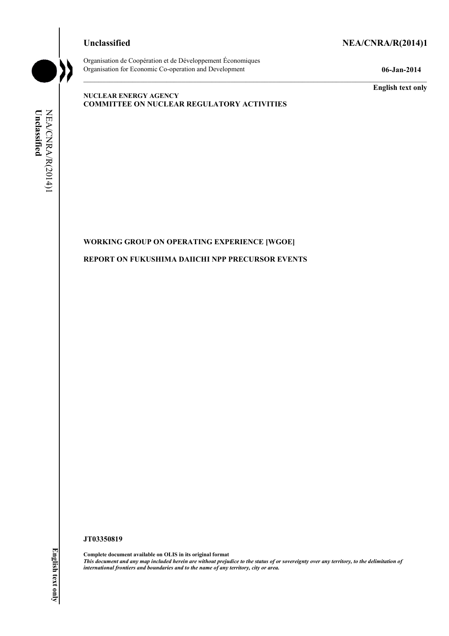# **Unclassified NEA/CNRA/R(2014)1**



Organisation de Coopération et de Développement Économiques Organisation for Economic Co-operation and Development **06-Jan-2014** 

**English text only** 

## **NUCLEAR ENERGY AGENCY COMMITTEE ON NUCLEAR REGULATORY ACTIVITIES**

# **WORKING GROUP ON OPERATING EXPERIENCE [WGOE]**

#### **REPORT ON FUKUSHIMA DAIICHI NPP PRECURSOR EVENTS**

#### **JT03350819**

**Complete document available on OLIS in its original format** *This document and any map included herein are without prejudice to the status of or sovereignty over any territory, to the delimitation of international frontiers and boundaries and to the name of any territory, city or area.*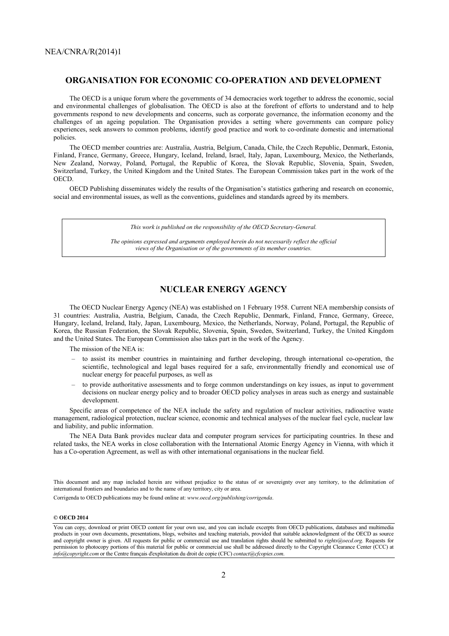#### **ORGANISATION FOR ECONOMIC CO-OPERATION AND DEVELOPMENT**

The OECD is a unique forum where the governments of 34 democracies work together to address the economic, social and environmental challenges of globalisation. The OECD is also at the forefront of efforts to understand and to help governments respond to new developments and concerns, such as corporate governance, the information economy and the challenges of an ageing population. The Organisation provides a setting where governments can compare policy experiences, seek answers to common problems, identify good practice and work to co-ordinate domestic and international policies.

The OECD member countries are: Australia, Austria, Belgium, Canada, Chile, the Czech Republic, Denmark, Estonia, Finland, France, Germany, Greece, Hungary, Iceland, Ireland, Israel, Italy, Japan, Luxembourg, Mexico, the Netherlands, New Zealand, Norway, Poland, Portugal, the Republic of Korea, the Slovak Republic, Slovenia, Spain, Sweden, Switzerland, Turkey, the United Kingdom and the United States. The European Commission takes part in the work of the OECD.

OECD Publishing disseminates widely the results of the Organisation's statistics gathering and research on economic, social and environmental issues, as well as the conventions, guidelines and standards agreed by its members.

*This work is published on the responsibility of the OECD Secretary-General.* 

*The opinions expressed and arguments employed herein do not necessarily reflect the official views of the Organisation or of the governments of its member countries.* 

### **NUCLEAR ENERGY AGENCY**

The OECD Nuclear Energy Agency (NEA) was established on 1 February 1958. Current NEA membership consists of 31 countries: Australia, Austria, Belgium, Canada, the Czech Republic, Denmark, Finland, France, Germany, Greece, Hungary, Iceland, Ireland, Italy, Japan, Luxembourg, Mexico, the Netherlands, Norway, Poland, Portugal, the Republic of Korea, the Russian Federation, the Slovak Republic, Slovenia, Spain, Sweden, Switzerland, Turkey, the United Kingdom and the United States. The European Commission also takes part in the work of the Agency.

The mission of the NEA is:

- to assist its member countries in maintaining and further developing, through international co-operation, the scientific, technological and legal bases required for a safe, environmentally friendly and economical use of nuclear energy for peaceful purposes, as well as
- to provide authoritative assessments and to forge common understandings on key issues, as input to government decisions on nuclear energy policy and to broader OECD policy analyses in areas such as energy and sustainable development.

Specific areas of competence of the NEA include the safety and regulation of nuclear activities, radioactive waste management, radiological protection, nuclear science, economic and technical analyses of the nuclear fuel cycle, nuclear law and liability, and public information.

The NEA Data Bank provides nuclear data and computer program services for participating countries. In these and related tasks, the NEA works in close collaboration with the International Atomic Energy Agency in Vienna, with which it has a Co-operation Agreement, as well as with other international organisations in the nuclear field.

This document and any map included herein are without prejudice to the status of or sovereignty over any territory, to the delimitation of international frontiers and boundaries and to the name of any territory, city or area.

Corrigenda to OECD publications may be found online at: *www.oecd.org/publishing/corrigenda*.

#### **© OECD 2014**

You can copy, download or print OECD content for your own use, and you can include excerpts from OECD publications, databases and multimedia products in your own documents, presentations, blogs, websites and teaching materials, provided that suitable acknowledgment of the OECD as source and copyright owner is given. All requests for public or commercial use and translation rights should be submitted to *rights@oecd.org*. Requests for permission to photocopy portions of this material for public or commercial use shall be addressed directly to the Copyright Clearance Center (CCC) at *info@copyright.com* or the Centre français d'exploitation du droit de copie (CFC) *contact@cfcopies.com*.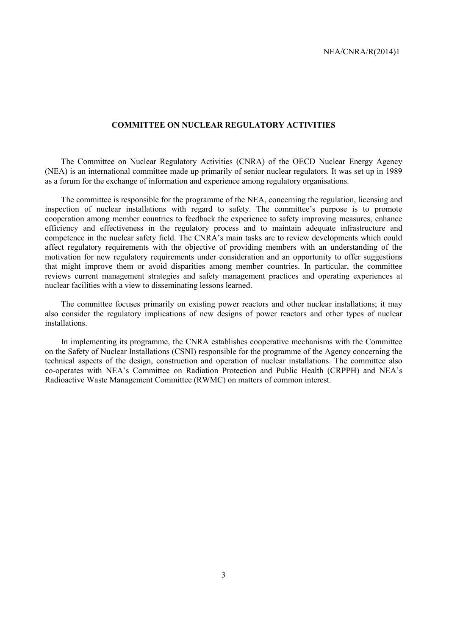#### **COMMITTEE ON NUCLEAR REGULATORY ACTIVITIES**

The Committee on Nuclear Regulatory Activities (CNRA) of the OECD Nuclear Energy Agency (NEA) is an international committee made up primarily of senior nuclear regulators. It was set up in 1989 as a forum for the exchange of information and experience among regulatory organisations.

The committee is responsible for the programme of the NEA, concerning the regulation, licensing and inspection of nuclear installations with regard to safety. The committee's purpose is to promote cooperation among member countries to feedback the experience to safety improving measures, enhance efficiency and effectiveness in the regulatory process and to maintain adequate infrastructure and competence in the nuclear safety field. The CNRA's main tasks are to review developments which could affect regulatory requirements with the objective of providing members with an understanding of the motivation for new regulatory requirements under consideration and an opportunity to offer suggestions that might improve them or avoid disparities among member countries. In particular, the committee reviews current management strategies and safety management practices and operating experiences at nuclear facilities with a view to disseminating lessons learned.

The committee focuses primarily on existing power reactors and other nuclear installations; it may also consider the regulatory implications of new designs of power reactors and other types of nuclear installations.

In implementing its programme, the CNRA establishes cooperative mechanisms with the Committee on the Safety of Nuclear Installations (CSNI) responsible for the programme of the Agency concerning the technical aspects of the design, construction and operation of nuclear installations. The committee also co-operates with NEA's Committee on Radiation Protection and Public Health (CRPPH) and NEA's Radioactive Waste Management Committee (RWMC) on matters of common interest.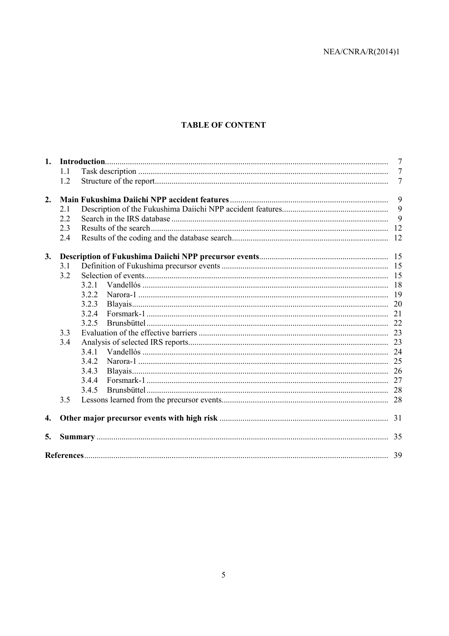# **TABLE OF CONTENT**

| 1. |     |       |                |  |  |  |
|----|-----|-------|----------------|--|--|--|
|    | 1.1 |       | $\overline{7}$ |  |  |  |
|    | 1.2 |       | $\overline{7}$ |  |  |  |
| 2. |     |       |                |  |  |  |
|    | 2.1 |       | 9              |  |  |  |
|    | 2.2 |       | 9              |  |  |  |
|    | 2.3 |       |                |  |  |  |
|    | 2.4 |       |                |  |  |  |
| 3. |     |       |                |  |  |  |
|    | 3.1 |       |                |  |  |  |
|    | 32  |       |                |  |  |  |
|    |     | 321   |                |  |  |  |
|    |     | 3.2.2 |                |  |  |  |
|    |     | 3.2.3 |                |  |  |  |
|    |     | 3.2.4 |                |  |  |  |
|    |     | 3.2.5 |                |  |  |  |
|    | 3.3 |       |                |  |  |  |
|    | 3.4 |       |                |  |  |  |
|    |     |       |                |  |  |  |
|    |     | 3.4.2 |                |  |  |  |
|    |     | 3.4.3 |                |  |  |  |
|    |     | 3.4.4 |                |  |  |  |
|    |     | 345   |                |  |  |  |
|    | 3.5 |       |                |  |  |  |
| 4. |     |       |                |  |  |  |
| 5. |     |       |                |  |  |  |
|    |     |       |                |  |  |  |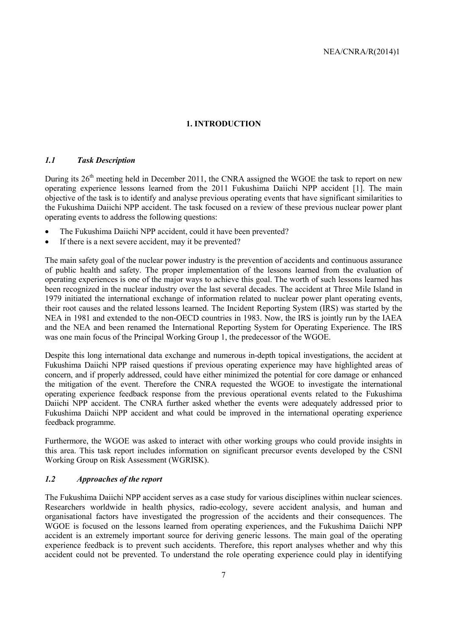#### **1. INTRODUCTION**

#### *1.1 Task Description*

During its  $26<sup>th</sup>$  meeting held in December 2011, the CNRA assigned the WGOE the task to report on new operating experience lessons learned from the 2011 Fukushima Daiichi NPP accident [1]. The main objective of the task is to identify and analyse previous operating events that have significant similarities to the Fukushima Daiichi NPP accident. The task focused on a review of these previous nuclear power plant operating events to address the following questions:

- The Fukushima Daiichi NPP accident, could it have been prevented?
- If there is a next severe accident, may it be prevented?

The main safety goal of the nuclear power industry is the prevention of accidents and continuous assurance of public health and safety. The proper implementation of the lessons learned from the evaluation of operating experiences is one of the major ways to achieve this goal. The worth of such lessons learned has been recognized in the nuclear industry over the last several decades. The accident at Three Mile Island in 1979 initiated the international exchange of information related to nuclear power plant operating events, their root causes and the related lessons learned. The Incident Reporting System (IRS) was started by the NEA in 1981 and extended to the non-OECD countries in 1983. Now, the IRS is jointly run by the IAEA and the NEA and been renamed the International Reporting System for Operating Experience. The IRS was one main focus of the Principal Working Group 1, the predecessor of the WGOE.

Despite this long international data exchange and numerous in-depth topical investigations, the accident at Fukushima Daiichi NPP raised questions if previous operating experience may have highlighted areas of concern, and if properly addressed, could have either minimized the potential for core damage or enhanced the mitigation of the event. Therefore the CNRA requested the WGOE to investigate the international operating experience feedback response from the previous operational events related to the Fukushima Daiichi NPP accident. The CNRA further asked whether the events were adequately addressed prior to Fukushima Daiichi NPP accident and what could be improved in the international operating experience feedback programme.

Furthermore, the WGOE was asked to interact with other working groups who could provide insights in this area. This task report includes information on significant precursor events developed by the CSNI Working Group on Risk Assessment (WGRISK).

#### *1.2 Approaches of the report*

The Fukushima Daiichi NPP accident serves as a case study for various disciplines within nuclear sciences. Researchers worldwide in health physics, radio-ecology, severe accident analysis, and human and organisational factors have investigated the progression of the accidents and their consequences. The WGOE is focused on the lessons learned from operating experiences, and the Fukushima Daiichi NPP accident is an extremely important source for deriving generic lessons. The main goal of the operating experience feedback is to prevent such accidents. Therefore, this report analyses whether and why this accident could not be prevented. To understand the role operating experience could play in identifying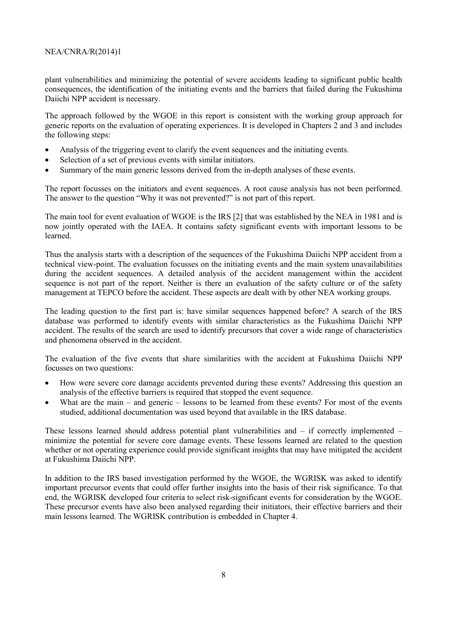plant vulnerabilities and minimizing the potential of severe accidents leading to significant public health consequences, the identification of the initiating events and the barriers that failed during the Fukushima Daiichi NPP accident is necessary.

The approach followed by the WGOE in this report is consistent with the working group approach for generic reports on the evaluation of operating experiences. It is developed in Chapters 2 and 3 and includes the following steps:

- Analysis of the triggering event to clarify the event sequences and the initiating events.
- Selection of a set of previous events with similar initiators.
- Summary of the main generic lessons derived from the in-depth analyses of these events.

The report focusses on the initiators and event sequences. A root cause analysis has not been performed. The answer to the question "Why it was not prevented?" is not part of this report.

The main tool for event evaluation of WGOE is the IRS [2] that was established by the NEA in 1981 and is now jointly operated with the IAEA. It contains safety significant events with important lessons to be learned.

Thus the analysis starts with a description of the sequences of the Fukushima Daiichi NPP accident from a technical view-point. The evaluation focusses on the initiating events and the main system unavailabilities during the accident sequences. A detailed analysis of the accident management within the accident sequence is not part of the report. Neither is there an evaluation of the safety culture or of the safety management at TEPCO before the accident. These aspects are dealt with by other NEA working groups.

The leading question to the first part is: have similar sequences happened before? A search of the IRS database was performed to identify events with similar characteristics as the Fukushima Daiichi NPP accident. The results of the search are used to identify precursors that cover a wide range of characteristics and phenomena observed in the accident.

The evaluation of the five events that share similarities with the accident at Fukushima Daiichi NPP focusses on two questions:

- How were severe core damage accidents prevented during these events? Addressing this question an analysis of the effective barriers is required that stopped the event sequence.
- What are the main and generic lessons to be learned from these events? For most of the events studied, additional documentation was used beyond that available in the IRS database.

These lessons learned should address potential plant vulnerabilities and – if correctly implemented – minimize the potential for severe core damage events. These lessons learned are related to the question whether or not operating experience could provide significant insights that may have mitigated the accident at Fukushima Daiichi NPP.

In addition to the IRS based investigation performed by the WGOE, the WGRISK was asked to identify important precursor events that could offer further insights into the basis of their risk significance. To that end, the WGRISK developed four criteria to select risk-significant events for consideration by the WGOE. These precursor events have also been analysed regarding their initiators, their effective barriers and their main lessons learned. The WGRISK contribution is embedded in Chapter 4.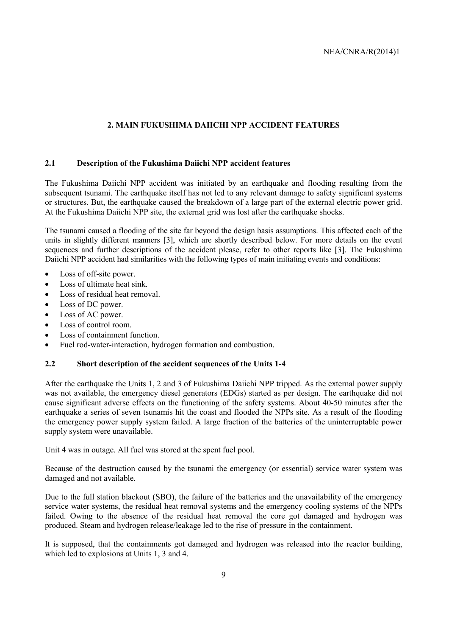## **2. MAIN FUKUSHIMA DAIICHI NPP ACCIDENT FEATURES**

#### **2.1 Description of the Fukushima Daiichi NPP accident features**

The Fukushima Daiichi NPP accident was initiated by an earthquake and flooding resulting from the subsequent tsunami. The earthquake itself has not led to any relevant damage to safety significant systems or structures. But, the earthquake caused the breakdown of a large part of the external electric power grid. At the Fukushima Daiichi NPP site, the external grid was lost after the earthquake shocks.

The tsunami caused a flooding of the site far beyond the design basis assumptions. This affected each of the units in slightly different manners [3], which are shortly described below. For more details on the event sequences and further descriptions of the accident please, refer to other reports like [3]. The Fukushima Daiichi NPP accident had similarities with the following types of main initiating events and conditions:

- Loss of off-site power.
- Loss of ultimate heat sink.
- Loss of residual heat removal.
- Loss of DC power.
- Loss of AC power.
- Loss of control room.
- Loss of containment function.
- Fuel rod-water-interaction, hydrogen formation and combustion.

#### **2.2 Short description of the accident sequences of the Units 1-4**

After the earthquake the Units 1, 2 and 3 of Fukushima Daiichi NPP tripped. As the external power supply was not available, the emergency diesel generators (EDGs) started as per design. The earthquake did not cause significant adverse effects on the functioning of the safety systems. About 40-50 minutes after the earthquake a series of seven tsunamis hit the coast and flooded the NPPs site. As a result of the flooding the emergency power supply system failed. A large fraction of the batteries of the uninterruptable power supply system were unavailable.

Unit 4 was in outage. All fuel was stored at the spent fuel pool.

Because of the destruction caused by the tsunami the emergency (or essential) service water system was damaged and not available.

Due to the full station blackout (SBO), the failure of the batteries and the unavailability of the emergency service water systems, the residual heat removal systems and the emergency cooling systems of the NPPs failed. Owing to the absence of the residual heat removal the core got damaged and hydrogen was produced. Steam and hydrogen release/leakage led to the rise of pressure in the containment.

It is supposed, that the containments got damaged and hydrogen was released into the reactor building, which led to explosions at Units 1, 3 and 4.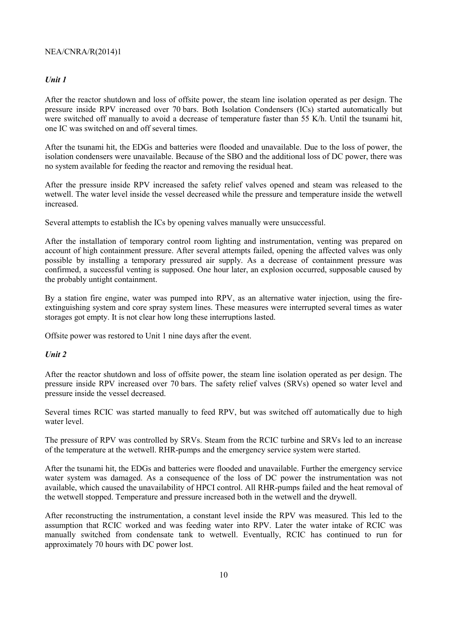## *Unit 1*

After the reactor shutdown and loss of offsite power, the steam line isolation operated as per design. The pressure inside RPV increased over 70 bars. Both Isolation Condensers (ICs) started automatically but were switched off manually to avoid a decrease of temperature faster than 55 K/h. Until the tsunami hit, one IC was switched on and off several times.

After the tsunami hit, the EDGs and batteries were flooded and unavailable. Due to the loss of power, the isolation condensers were unavailable. Because of the SBO and the additional loss of DC power, there was no system available for feeding the reactor and removing the residual heat.

After the pressure inside RPV increased the safety relief valves opened and steam was released to the wetwell. The water level inside the vessel decreased while the pressure and temperature inside the wetwell increased.

Several attempts to establish the ICs by opening valves manually were unsuccessful.

After the installation of temporary control room lighting and instrumentation, venting was prepared on account of high containment pressure. After several attempts failed, opening the affected valves was only possible by installing a temporary pressured air supply. As a decrease of containment pressure was confirmed, a successful venting is supposed. One hour later, an explosion occurred, supposable caused by the probably untight containment.

By a station fire engine, water was pumped into RPV, as an alternative water injection, using the fireextinguishing system and core spray system lines. These measures were interrupted several times as water storages got empty. It is not clear how long these interruptions lasted.

Offsite power was restored to Unit 1 nine days after the event.

#### *Unit 2*

After the reactor shutdown and loss of offsite power, the steam line isolation operated as per design. The pressure inside RPV increased over 70 bars. The safety relief valves (SRVs) opened so water level and pressure inside the vessel decreased.

Several times RCIC was started manually to feed RPV, but was switched off automatically due to high water level.

The pressure of RPV was controlled by SRVs. Steam from the RCIC turbine and SRVs led to an increase of the temperature at the wetwell. RHR-pumps and the emergency service system were started.

After the tsunami hit, the EDGs and batteries were flooded and unavailable. Further the emergency service water system was damaged. As a consequence of the loss of DC power the instrumentation was not available, which caused the unavailability of HPCI control. All RHR-pumps failed and the heat removal of the wetwell stopped. Temperature and pressure increased both in the wetwell and the drywell.

After reconstructing the instrumentation, a constant level inside the RPV was measured. This led to the assumption that RCIC worked and was feeding water into RPV. Later the water intake of RCIC was manually switched from condensate tank to wetwell. Eventually, RCIC has continued to run for approximately 70 hours with DC power lost.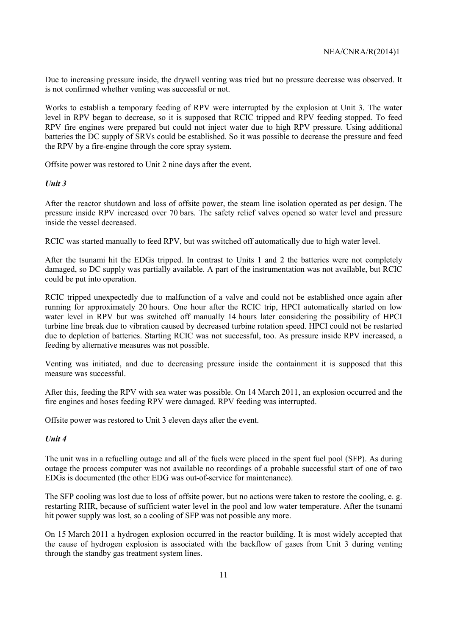Due to increasing pressure inside, the drywell venting was tried but no pressure decrease was observed. It is not confirmed whether venting was successful or not.

Works to establish a temporary feeding of RPV were interrupted by the explosion at Unit 3. The water level in RPV began to decrease, so it is supposed that RCIC tripped and RPV feeding stopped. To feed RPV fire engines were prepared but could not inject water due to high RPV pressure. Using additional batteries the DC supply of SRVs could be established. So it was possible to decrease the pressure and feed the RPV by a fire-engine through the core spray system.

Offsite power was restored to Unit 2 nine days after the event.

#### *Unit 3*

After the reactor shutdown and loss of offsite power, the steam line isolation operated as per design. The pressure inside RPV increased over 70 bars. The safety relief valves opened so water level and pressure inside the vessel decreased.

RCIC was started manually to feed RPV, but was switched off automatically due to high water level.

After the tsunami hit the EDGs tripped. In contrast to Units 1 and 2 the batteries were not completely damaged, so DC supply was partially available. A part of the instrumentation was not available, but RCIC could be put into operation.

RCIC tripped unexpectedly due to malfunction of a valve and could not be established once again after running for approximately 20 hours. One hour after the RCIC trip, HPCI automatically started on low water level in RPV but was switched off manually 14 hours later considering the possibility of HPCI turbine line break due to vibration caused by decreased turbine rotation speed. HPCI could not be restarted due to depletion of batteries. Starting RCIC was not successful, too. As pressure inside RPV increased, a feeding by alternative measures was not possible.

Venting was initiated, and due to decreasing pressure inside the containment it is supposed that this measure was successful.

After this, feeding the RPV with sea water was possible. On 14 March 2011, an explosion occurred and the fire engines and hoses feeding RPV were damaged. RPV feeding was interrupted.

Offsite power was restored to Unit 3 eleven days after the event.

#### *Unit 4*

The unit was in a refuelling outage and all of the fuels were placed in the spent fuel pool (SFP). As during outage the process computer was not available no recordings of a probable successful start of one of two EDGs is documented (the other EDG was out-of-service for maintenance).

The SFP cooling was lost due to loss of offsite power, but no actions were taken to restore the cooling, e. g. restarting RHR, because of sufficient water level in the pool and low water temperature. After the tsunami hit power supply was lost, so a cooling of SFP was not possible any more.

On 15 March 2011 a hydrogen explosion occurred in the reactor building. It is most widely accepted that the cause of hydrogen explosion is associated with the backflow of gases from Unit 3 during venting through the standby gas treatment system lines.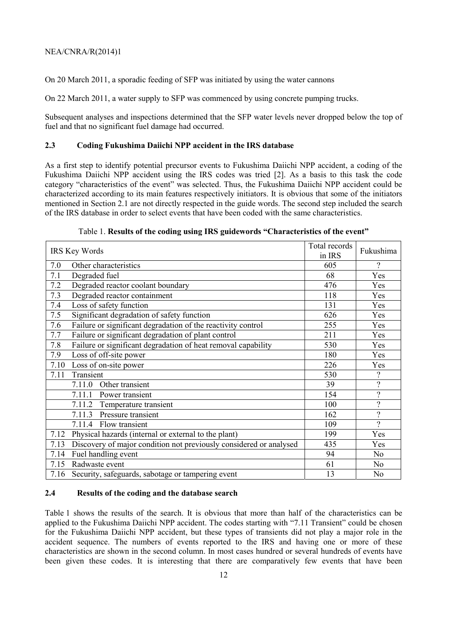On 20 March 2011, a sporadic feeding of SFP was initiated by using the water cannons

On 22 March 2011, a water supply to SFP was commenced by using concrete pumping trucks.

Subsequent analyses and inspections determined that the SFP water levels never dropped below the top of fuel and that no significant fuel damage had occurred.

#### **2.3 Coding Fukushima Daiichi NPP accident in the IRS database**

As a first step to identify potential precursor events to Fukushima Daiichi NPP accident, a coding of the Fukushima Daiichi NPP accident using the IRS codes was tried [2]. As a basis to this task the code category "characteristics of the event" was selected. Thus, the Fukushima Daiichi NPP accident could be characterized according to its main features respectively initiators. It is obvious that some of the initiators mentioned in Section 2.1 are not directly respected in the guide words. The second step included the search of the IRS database in order to select events that have been coded with the same characteristics.

|      | <b>IRS Key Words</b>                                               | Total records | Fukushima                |  |
|------|--------------------------------------------------------------------|---------------|--------------------------|--|
|      |                                                                    | in IRS        |                          |  |
| 7.0  | Other characteristics                                              | 605           | ?                        |  |
| 7.1  | Degraded fuel                                                      | 68            | Yes                      |  |
| 7.2  | Degraded reactor coolant boundary                                  | 476           | Yes                      |  |
| 7.3  | Degraded reactor containment                                       | 118           | Yes                      |  |
| 7.4  | Loss of safety function                                            | 131           | Yes                      |  |
| 7.5  | Significant degradation of safety function                         | 626           | Yes                      |  |
| 7.6  | Failure or significant degradation of the reactivity control       | 255           | Yes                      |  |
| 7.7  | Failure or significant degradation of plant control                | 211           | Yes                      |  |
| 7.8  | Failure or significant degradation of heat removal capability      | 530           | Yes                      |  |
| 7.9  | Loss of off-site power                                             | 180           | Yes                      |  |
| 7.10 | Loss of on-site power                                              | 226           | Yes                      |  |
| 7.11 | Transient                                                          | 530           | $\gamma$                 |  |
|      | Other transient<br>7.11.0                                          | 39            | $\gamma$                 |  |
|      | 7.11.1<br>Power transient                                          | 154           | $\gamma$                 |  |
|      | 7.11.2<br>Temperature transient                                    | 100           | $\overline{\mathcal{L}}$ |  |
|      | Pressure transient<br>7.11.3                                       | 162           | $\gamma$                 |  |
|      | Flow transient<br>7.11.4                                           | 109           | $\gamma$                 |  |
| 7.12 | Physical hazards (internal or external to the plant)               | 199           | Yes                      |  |
| 7.13 | Discovery of major condition not previously considered or analysed | 435           | Yes                      |  |
| 7.14 | Fuel handling event                                                | 94            | N <sub>o</sub>           |  |
| 7.15 | Radwaste event                                                     | 61            | N <sub>0</sub>           |  |
| 7.16 | Security, safeguards, sabotage or tampering event                  | 13            | No                       |  |

Table 1. **Results of the coding using IRS guidewords "Characteristics of the event"**

#### **2.4 Results of the coding and the database search**

Table 1 shows the results of the search. It is obvious that more than half of the characteristics can be applied to the Fukushima Daiichi NPP accident. The codes starting with "7.11 Transient" could be chosen for the Fukushima Daiichi NPP accident, but these types of transients did not play a major role in the accident sequence. The numbers of events reported to the IRS and having one or more of these characteristics are shown in the second column. In most cases hundred or several hundreds of events have been given these codes. It is interesting that there are comparatively few events that have been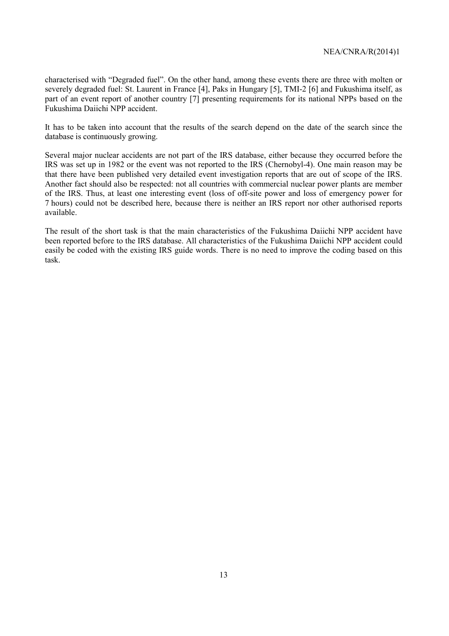characterised with "Degraded fuel". On the other hand, among these events there are three with molten or severely degraded fuel: St. Laurent in France [4], Paks in Hungary [5], TMI-2 [6] and Fukushima itself, as part of an event report of another country [7] presenting requirements for its national NPPs based on the Fukushima Daiichi NPP accident.

It has to be taken into account that the results of the search depend on the date of the search since the database is continuously growing.

Several major nuclear accidents are not part of the IRS database, either because they occurred before the IRS was set up in 1982 or the event was not reported to the IRS (Chernobyl-4). One main reason may be that there have been published very detailed event investigation reports that are out of scope of the IRS. Another fact should also be respected: not all countries with commercial nuclear power plants are member of the IRS. Thus, at least one interesting event (loss of off-site power and loss of emergency power for 7 hours) could not be described here, because there is neither an IRS report nor other authorised reports available.

The result of the short task is that the main characteristics of the Fukushima Daiichi NPP accident have been reported before to the IRS database. All characteristics of the Fukushima Daiichi NPP accident could easily be coded with the existing IRS guide words. There is no need to improve the coding based on this task.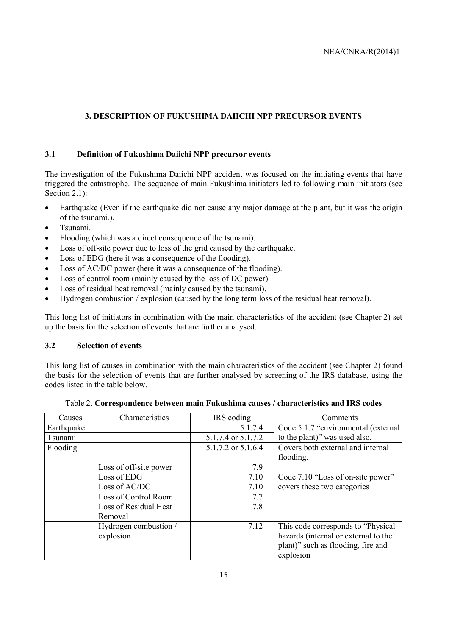## **3. DESCRIPTION OF FUKUSHIMA DAIICHI NPP PRECURSOR EVENTS**

#### **3.1 Definition of Fukushima Daiichi NPP precursor events**

The investigation of the Fukushima Daiichi NPP accident was focused on the initiating events that have triggered the catastrophe. The sequence of main Fukushima initiators led to following main initiators (see Section 2.1):

- Earthquake (Even if the earthquake did not cause any major damage at the plant, but it was the origin of the tsunami.).
- Tsunami.
- Flooding (which was a direct consequence of the tsunami).
- Loss of off-site power due to loss of the grid caused by the earthquake.
- Loss of EDG (here it was a consequence of the flooding).
- Loss of AC/DC power (here it was a consequence of the flooding).
- Loss of control room (mainly caused by the loss of DC power).
- Loss of residual heat removal (mainly caused by the tsunami).
- Hydrogen combustion / explosion (caused by the long term loss of the residual heat removal).

This long list of initiators in combination with the main characteristics of the accident (see Chapter 2) set up the basis for the selection of events that are further analysed.

#### **3.2 Selection of events**

This long list of causes in combination with the main characteristics of the accident (see Chapter 2) found the basis for the selection of events that are further analysed by screening of the IRS database, using the codes listed in the table below.

| Causes     | Characteristics        | IRS coding         | Comments                             |
|------------|------------------------|--------------------|--------------------------------------|
| Earthquake |                        | 5.1.7.4            | Code 5.1.7 "environmental (external  |
| Tsunami    |                        | 5.1.7.4 or 5.1.7.2 | to the plant)" was used also.        |
| Flooding   |                        | 5.1.7.2 or 5.1.6.4 | Covers both external and internal    |
|            |                        |                    | flooding.                            |
|            | Loss of off-site power | 7.9                |                                      |
|            | Loss of EDG            | 7.10               | Code 7.10 "Loss of on-site power"    |
|            | Loss of AC/DC          | 7.10               | covers these two categories          |
|            | Loss of Control Room   | 7.7                |                                      |
|            | Loss of Residual Heat  | 7.8                |                                      |
|            | Removal                |                    |                                      |
|            | Hydrogen combustion /  | 7.12               | This code corresponds to "Physical"  |
|            | explosion              |                    | hazards (internal or external to the |
|            |                        |                    | plant)" such as flooding, fire and   |
|            |                        |                    | explosion                            |

Table 2. **Correspondence between main Fukushima causes / characteristics and IRS codes**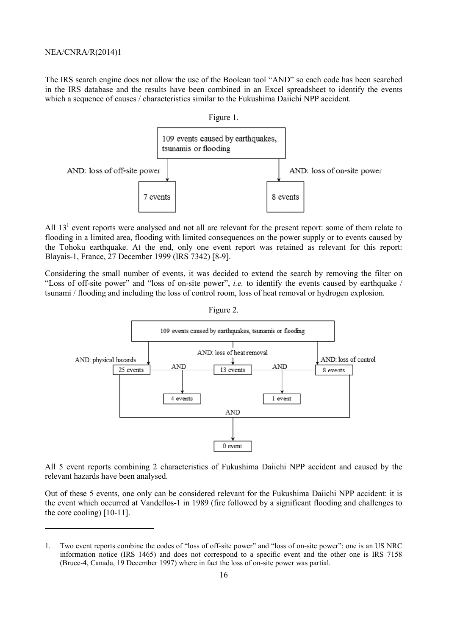l

The IRS search engine does not allow the use of the Boolean tool "AND" so each code has been searched in the IRS database and the results have been combined in an Excel spreadsheet to identify the events which a sequence of causes / characteristics similar to the Fukushima Daiichi NPP accident.



All  $13<sup>1</sup>$  event reports were analysed and not all are relevant for the present report: some of them relate to flooding in a limited area, flooding with limited consequences on the power supply or to events caused by the Tohoku earthquake. At the end, only one event report was retained as relevant for this report: Blayais-1, France, 27 December 1999 (IRS 7342) [8-9].

Considering the small number of events, it was decided to extend the search by removing the filter on "Loss of off-site power" and "loss of on-site power", *i.e.* to identify the events caused by earthquake / tsunami / flooding and including the loss of control room, loss of heat removal or hydrogen explosion.



Figure 2.

All 5 event reports combining 2 characteristics of Fukushima Daiichi NPP accident and caused by the relevant hazards have been analysed.

Out of these 5 events, one only can be considered relevant for the Fukushima Daiichi NPP accident: it is the event which occurred at Vandellos-1 in 1989 (fire followed by a significant flooding and challenges to the core cooling) [10-11].

<sup>1.</sup> Two event reports combine the codes of "loss of off-site power" and "loss of on-site power": one is an US NRC information notice (IRS 1465) and does not correspond to a specific event and the other one is IRS 7158 (Bruce-4, Canada, 19 December 1997) where in fact the loss of on-site power was partial.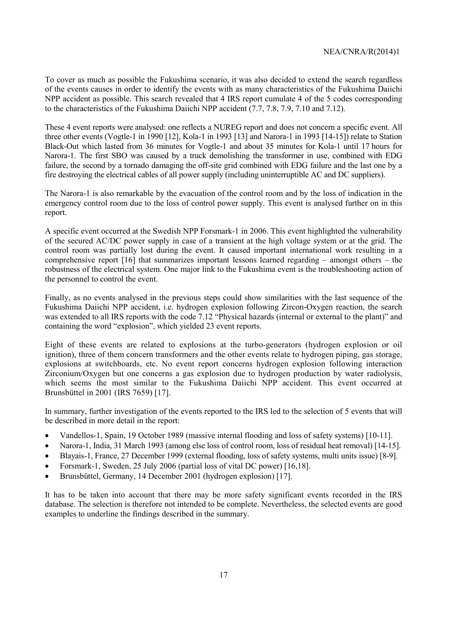To cover as much as possible the Fukushima scenario, it was also decided to extend the search regardless of the events causes in order to identify the events with as many characteristics of the Fukushima Daiichi NPP accident as possible. This search revealed that 4 IRS report cumulate 4 of the 5 codes corresponding to the characteristics of the Fukushima Daiichi NPP accident (7.7, 7.8, 7.9, 7.10 and 7.12).

These 4 event reports were analysed: one reflects a NUREG report and does not concern a specific event. All three other events (Vogtle-1 in 1990 [12], Kola-1 in 1993 [13] and Narora-1 in 1993 [14-15]) relate to Station Black-Out which lasted from 36 minutes for Vogtle-1 and about 35 minutes for Kola-1 until 17 hours for Narora-1. The first SBO was caused by a truck demolishing the transformer in use, combined with EDG failure, the second by a tornado damaging the off-site grid combined with EDG failure and the last one by a fire destroying the electrical cables of all power supply (including uninterruptible AC and DC suppliers).

The Narora-1 is also remarkable by the evacuation of the control room and by the loss of indication in the emergency control room due to the loss of control power supply. This event is analysed further on in this report.

A specific event occurred at the Swedish NPP Forsmark-1 in 2006. This event highlighted the vulnerability of the secured AC/DC power supply in case of a transient at the high voltage system or at the grid. The control room was partially lost during the event. It caused important international work resulting in a comprehensive report [16] that summarizes important lessons learned regarding – amongst others – the robustness of the electrical system. One major link to the Fukushima event is the troubleshooting action of the personnel to control the event.

Finally, as no events analysed in the previous steps could show similarities with the last sequence of the Fukushima Daiichi NPP accident, i.e. hydrogen explosion following Zircon-Oxygen reaction, the search was extended to all IRS reports with the code 7.12 "Physical hazards (internal or external to the plant)" and containing the word "explosion", which yielded 23 event reports.

Eight of these events are related to explosions at the turbo-generators (hydrogen explosion or oil ignition), three of them concern transformers and the other events relate to hydrogen piping, gas storage, explosions at switchboards, etc. No event report concerns hydrogen explosion following interaction Zirconium/Oxygen but one concerns a gas explosion due to hydrogen production by water radiolysis, which seems the most similar to the Fukushima Daiichi NPP accident. This event occurred at Brunsbüttel in 2001 (IRS 7659) [17].

In summary, further investigation of the events reported to the IRS led to the selection of 5 events that will be described in more detail in the report:

- Vandellos-1, Spain, 19 October 1989 (massive internal flooding and loss of safety systems) [10-11].
- Narora-1, India, 31 March 1993 (among else loss of control room, loss of residual heat removal) [14-15].
- Blayais-1, France, 27 December 1999 (external flooding, loss of safety systems, multi units issue) [8-9].
- Forsmark-1, Sweden, 25 July 2006 (partial loss of vital DC power) [16,18].
- Brunsbüttel, Germany, 14 December 2001 (hydrogen explosion) [17].

It has to be taken into account that there may be more safety significant events recorded in the IRS database. The selection is therefore not intended to be complete. Nevertheless, the selected events are good examples to underline the findings described in the summary.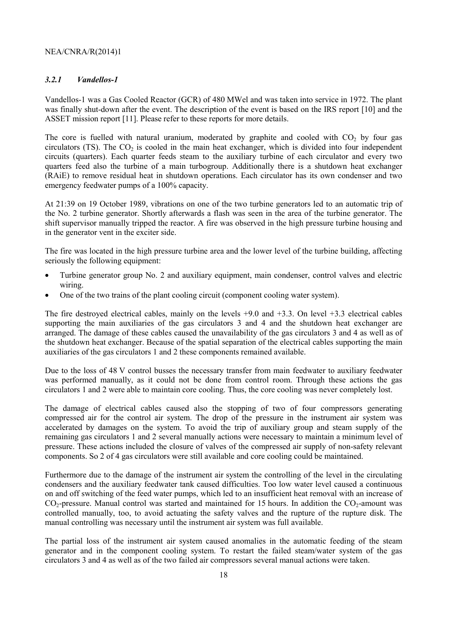## *3.2.1 Vandellos-1*

Vandellos-1 was a Gas Cooled Reactor (GCR) of 480 MWel and was taken into service in 1972. The plant was finally shut-down after the event. The description of the event is based on the IRS report [10] and the ASSET mission report [11]. Please refer to these reports for more details.

The core is fuelled with natural uranium, moderated by graphite and cooled with  $CO<sub>2</sub>$  by four gas circulators (TS). The  $CO<sub>2</sub>$  is cooled in the main heat exchanger, which is divided into four independent circuits (quarters). Each quarter feeds steam to the auxiliary turbine of each circulator and every two quarters feed also the turbine of a main turbogroup. Additionally there is a shutdown heat exchanger (RAiE) to remove residual heat in shutdown operations. Each circulator has its own condenser and two emergency feedwater pumps of a 100% capacity.

At 21:39 on 19 October 1989, vibrations on one of the two turbine generators led to an automatic trip of the No. 2 turbine generator. Shortly afterwards a flash was seen in the area of the turbine generator. The shift supervisor manually tripped the reactor. A fire was observed in the high pressure turbine housing and in the generator vent in the exciter side.

The fire was located in the high pressure turbine area and the lower level of the turbine building, affecting seriously the following equipment:

- Turbine generator group No. 2 and auxiliary equipment, main condenser, control valves and electric wiring.
- One of the two trains of the plant cooling circuit (component cooling water system).

The fire destroyed electrical cables, mainly on the levels +9.0 and +3.3. On level +3.3 electrical cables supporting the main auxiliaries of the gas circulators 3 and 4 and the shutdown heat exchanger are arranged. The damage of these cables caused the unavailability of the gas circulators 3 and 4 as well as of the shutdown heat exchanger. Because of the spatial separation of the electrical cables supporting the main auxiliaries of the gas circulators 1 and 2 these components remained available.

Due to the loss of 48 V control busses the necessary transfer from main feedwater to auxiliary feedwater was performed manually, as it could not be done from control room. Through these actions the gas circulators 1 and 2 were able to maintain core cooling. Thus, the core cooling was never completely lost.

The damage of electrical cables caused also the stopping of two of four compressors generating compressed air for the control air system. The drop of the pressure in the instrument air system was accelerated by damages on the system. To avoid the trip of auxiliary group and steam supply of the remaining gas circulators 1 and 2 several manually actions were necessary to maintain a minimum level of pressure. These actions included the closure of valves of the compressed air supply of non-safety relevant components. So 2 of 4 gas circulators were still available and core cooling could be maintained.

Furthermore due to the damage of the instrument air system the controlling of the level in the circulating condensers and the auxiliary feedwater tank caused difficulties. Too low water level caused a continuous on and off switching of the feed water pumps, which led to an insufficient heat removal with an increase of  $CO<sub>2</sub>$ -pressure. Manual control was started and maintained for 15 hours. In addition the CO $<sub>2</sub>$ -amount was</sub> controlled manually, too, to avoid actuating the safety valves and the rupture of the rupture disk. The manual controlling was necessary until the instrument air system was full available.

The partial loss of the instrument air system caused anomalies in the automatic feeding of the steam generator and in the component cooling system. To restart the failed steam/water system of the gas circulators 3 and 4 as well as of the two failed air compressors several manual actions were taken.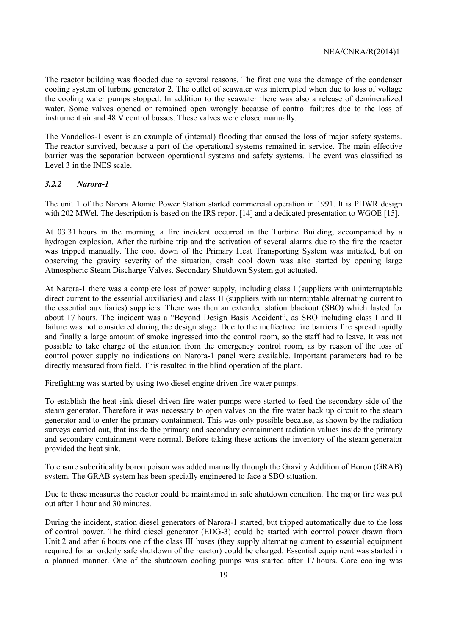The reactor building was flooded due to several reasons. The first one was the damage of the condenser cooling system of turbine generator 2. The outlet of seawater was interrupted when due to loss of voltage the cooling water pumps stopped. In addition to the seawater there was also a release of demineralized water. Some valves opened or remained open wrongly because of control failures due to the loss of instrument air and 48 V control busses. These valves were closed manually.

The Vandellos-1 event is an example of (internal) flooding that caused the loss of major safety systems. The reactor survived, because a part of the operational systems remained in service. The main effective barrier was the separation between operational systems and safety systems. The event was classified as Level 3 in the INES scale.

#### *3.2.2 Narora-1*

The unit 1 of the Narora Atomic Power Station started commercial operation in 1991. It is PHWR design with 202 MWel. The description is based on the IRS report [14] and a dedicated presentation to WGOE [15].

At 03.31 hours in the morning, a fire incident occurred in the Turbine Building, accompanied by a hydrogen explosion. After the turbine trip and the activation of several alarms due to the fire the reactor was tripped manually. The cool down of the Primary Heat Transporting System was initiated, but on observing the gravity severity of the situation, crash cool down was also started by opening large Atmospheric Steam Discharge Valves. Secondary Shutdown System got actuated.

At Narora-1 there was a complete loss of power supply, including class I (suppliers with uninterruptable direct current to the essential auxiliaries) and class II (suppliers with uninterruptable alternating current to the essential auxiliaries) suppliers. There was then an extended station blackout (SBO) which lasted for about 17 hours. The incident was a "Beyond Design Basis Accident", as SBO including class I and II failure was not considered during the design stage. Due to the ineffective fire barriers fire spread rapidly and finally a large amount of smoke ingressed into the control room, so the staff had to leave. It was not possible to take charge of the situation from the emergency control room, as by reason of the loss of control power supply no indications on Narora-1 panel were available. Important parameters had to be directly measured from field. This resulted in the blind operation of the plant.

Firefighting was started by using two diesel engine driven fire water pumps.

To establish the heat sink diesel driven fire water pumps were started to feed the secondary side of the steam generator. Therefore it was necessary to open valves on the fire water back up circuit to the steam generator and to enter the primary containment. This was only possible because, as shown by the radiation surveys carried out, that inside the primary and secondary containment radiation values inside the primary and secondary containment were normal. Before taking these actions the inventory of the steam generator provided the heat sink.

To ensure subcriticality boron poison was added manually through the Gravity Addition of Boron (GRAB) system. The GRAB system has been specially engineered to face a SBO situation.

Due to these measures the reactor could be maintained in safe shutdown condition. The major fire was put out after 1 hour and 30 minutes.

During the incident, station diesel generators of Narora-1 started, but tripped automatically due to the loss of control power. The third diesel generator (EDG-3) could be started with control power drawn from Unit 2 and after 6 hours one of the class III buses (they supply alternating current to essential equipment required for an orderly safe shutdown of the reactor) could be charged. Essential equipment was started in a planned manner. One of the shutdown cooling pumps was started after 17 hours. Core cooling was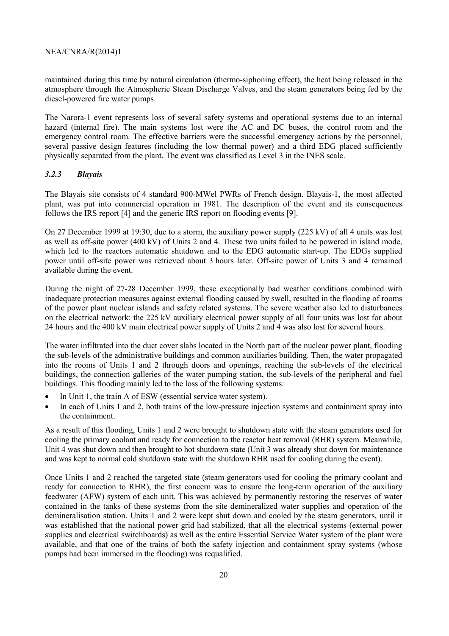maintained during this time by natural circulation (thermo-siphoning effect), the heat being released in the atmosphere through the Atmospheric Steam Discharge Valves, and the steam generators being fed by the diesel-powered fire water pumps.

The Narora-1 event represents loss of several safety systems and operational systems due to an internal hazard (internal fire). The main systems lost were the AC and DC buses, the control room and the emergency control room. The effective barriers were the successful emergency actions by the personnel, several passive design features (including the low thermal power) and a third EDG placed sufficiently physically separated from the plant. The event was classified as Level 3 in the INES scale.

#### *3.2.3 Blayais*

The Blayais site consists of 4 standard 900-MWel PWRs of French design. Blayais-1, the most affected plant, was put into commercial operation in 1981. The description of the event and its consequences follows the IRS report [4] and the generic IRS report on flooding events [9].

On 27 December 1999 at 19:30, due to a storm, the auxiliary power supply (225 kV) of all 4 units was lost as well as off-site power (400 kV) of Units 2 and 4. These two units failed to be powered in island mode, which led to the reactors automatic shutdown and to the EDG automatic start-up. The EDGs supplied power until off-site power was retrieved about 3 hours later. Off-site power of Units 3 and 4 remained available during the event.

During the night of 27-28 December 1999, these exceptionally bad weather conditions combined with inadequate protection measures against external flooding caused by swell, resulted in the flooding of rooms of the power plant nuclear islands and safety related systems. The severe weather also led to disturbances on the electrical network: the 225 kV auxiliary electrical power supply of all four units was lost for about 24 hours and the 400 kV main electrical power supply of Units 2 and 4 was also lost for several hours.

The water infiltrated into the duct cover slabs located in the North part of the nuclear power plant, flooding the sub-levels of the administrative buildings and common auxiliaries building. Then, the water propagated into the rooms of Units 1 and 2 through doors and openings, reaching the sub-levels of the electrical buildings, the connection galleries of the water pumping station, the sub-levels of the peripheral and fuel buildings. This flooding mainly led to the loss of the following systems:

- In Unit 1, the train A of ESW (essential service water system).
- In each of Units 1 and 2, both trains of the low-pressure injection systems and containment spray into the containment.

As a result of this flooding, Units 1 and 2 were brought to shutdown state with the steam generators used for cooling the primary coolant and ready for connection to the reactor heat removal (RHR) system. Meanwhile, Unit 4 was shut down and then brought to hot shutdown state (Unit 3 was already shut down for maintenance and was kept to normal cold shutdown state with the shutdown RHR used for cooling during the event).

Once Units 1 and 2 reached the targeted state (steam generators used for cooling the primary coolant and ready for connection to RHR), the first concern was to ensure the long-term operation of the auxiliary feedwater (AFW) system of each unit. This was achieved by permanently restoring the reserves of water contained in the tanks of these systems from the site demineralized water supplies and operation of the demineralisation station. Units 1 and 2 were kept shut down and cooled by the steam generators, until it was established that the national power grid had stabilized, that all the electrical systems (external power supplies and electrical switchboards) as well as the entire Essential Service Water system of the plant were available, and that one of the trains of both the safety injection and containment spray systems (whose pumps had been immersed in the flooding) was requalified.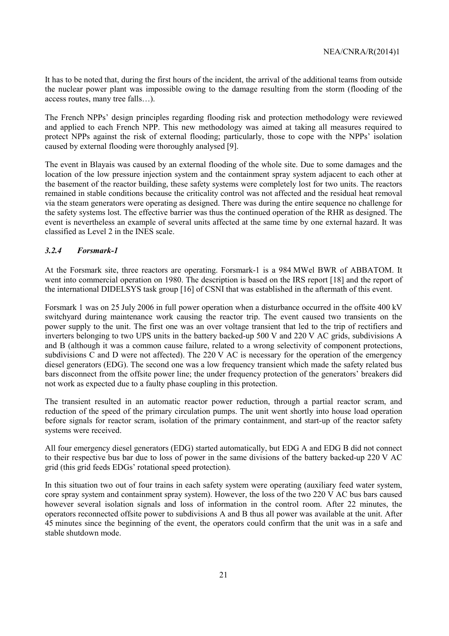It has to be noted that, during the first hours of the incident, the arrival of the additional teams from outside the nuclear power plant was impossible owing to the damage resulting from the storm (flooding of the access routes, many tree falls…).

The French NPPs' design principles regarding flooding risk and protection methodology were reviewed and applied to each French NPP. This new methodology was aimed at taking all measures required to protect NPPs against the risk of external flooding; particularly, those to cope with the NPPs' isolation caused by external flooding were thoroughly analysed [9].

The event in Blayais was caused by an external flooding of the whole site. Due to some damages and the location of the low pressure injection system and the containment spray system adjacent to each other at the basement of the reactor building, these safety systems were completely lost for two units. The reactors remained in stable conditions because the criticality control was not affected and the residual heat removal via the steam generators were operating as designed. There was during the entire sequence no challenge for the safety systems lost. The effective barrier was thus the continued operation of the RHR as designed. The event is nevertheless an example of several units affected at the same time by one external hazard. It was classified as Level 2 in the INES scale.

#### *3.2.4 Forsmark-1*

At the Forsmark site, three reactors are operating. Forsmark-1 is a 984 MWel BWR of ABBATOM. It went into commercial operation on 1980. The description is based on the IRS report [18] and the report of the international DIDELSYS task group [16] of CSNI that was established in the aftermath of this event.

Forsmark 1 was on 25 July 2006 in full power operation when a disturbance occurred in the offsite 400 kV switchyard during maintenance work causing the reactor trip. The event caused two transients on the power supply to the unit. The first one was an over voltage transient that led to the trip of rectifiers and inverters belonging to two UPS units in the battery backed-up 500 V and 220 V AC grids, subdivisions A and B (although it was a common cause failure, related to a wrong selectivity of component protections, subdivisions C and D were not affected). The 220 V AC is necessary for the operation of the emergency diesel generators (EDG). The second one was a low frequency transient which made the safety related bus bars disconnect from the offsite power line; the under frequency protection of the generators' breakers did not work as expected due to a faulty phase coupling in this protection.

The transient resulted in an automatic reactor power reduction, through a partial reactor scram, and reduction of the speed of the primary circulation pumps. The unit went shortly into house load operation before signals for reactor scram, isolation of the primary containment, and start-up of the reactor safety systems were received.

All four emergency diesel generators (EDG) started automatically, but EDG A and EDG B did not connect to their respective bus bar due to loss of power in the same divisions of the battery backed-up 220 V AC grid (this grid feeds EDGs' rotational speed protection).

In this situation two out of four trains in each safety system were operating (auxiliary feed water system, core spray system and containment spray system). However, the loss of the two 220 V AC bus bars caused however several isolation signals and loss of information in the control room. After 22 minutes, the operators reconnected offsite power to subdivisions A and B thus all power was available at the unit. After 45 minutes since the beginning of the event, the operators could confirm that the unit was in a safe and stable shutdown mode.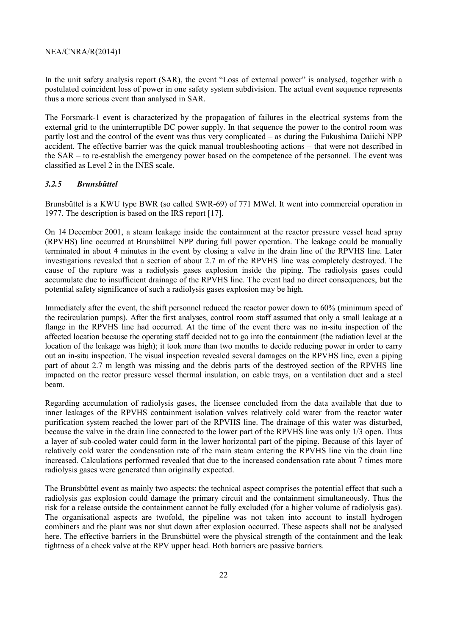In the unit safety analysis report (SAR), the event "Loss of external power" is analysed, together with a postulated coincident loss of power in one safety system subdivision. The actual event sequence represents thus a more serious event than analysed in SAR.

The Forsmark-1 event is characterized by the propagation of failures in the electrical systems from the external grid to the uninterruptible DC power supply. In that sequence the power to the control room was partly lost and the control of the event was thus very complicated – as during the Fukushima Daiichi NPP accident. The effective barrier was the quick manual troubleshooting actions – that were not described in the SAR – to re-establish the emergency power based on the competence of the personnel. The event was classified as Level 2 in the INES scale.

#### *3.2.5 Brunsbüttel*

Brunsbüttel is a KWU type BWR (so called SWR-69) of 771 MWel. It went into commercial operation in 1977. The description is based on the IRS report [17].

On 14 December 2001, a steam leakage inside the containment at the reactor pressure vessel head spray (RPVHS) line occurred at Brunsbüttel NPP during full power operation. The leakage could be manually terminated in about 4 minutes in the event by closing a valve in the drain line of the RPVHS line. Later investigations revealed that a section of about 2.7 m of the RPVHS line was completely destroyed. The cause of the rupture was a radiolysis gases explosion inside the piping. The radiolysis gases could accumulate due to insufficient drainage of the RPVHS line. The event had no direct consequences, but the potential safety significance of such a radiolysis gases explosion may be high.

Immediately after the event, the shift personnel reduced the reactor power down to 60% (minimum speed of the recirculation pumps). After the first analyses, control room staff assumed that only a small leakage at a flange in the RPVHS line had occurred. At the time of the event there was no in-situ inspection of the affected location because the operating staff decided not to go into the containment (the radiation level at the location of the leakage was high); it took more than two months to decide reducing power in order to carry out an in-situ inspection. The visual inspection revealed several damages on the RPVHS line, even a piping part of about 2.7 m length was missing and the debris parts of the destroyed section of the RPVHS line impacted on the rector pressure vessel thermal insulation, on cable trays, on a ventilation duct and a steel beam.

Regarding accumulation of radiolysis gases, the licensee concluded from the data available that due to inner leakages of the RPVHS containment isolation valves relatively cold water from the reactor water purification system reached the lower part of the RPVHS line. The drainage of this water was disturbed, because the valve in the drain line connected to the lower part of the RPVHS line was only 1/3 open. Thus a layer of sub-cooled water could form in the lower horizontal part of the piping. Because of this layer of relatively cold water the condensation rate of the main steam entering the RPVHS line via the drain line increased. Calculations performed revealed that due to the increased condensation rate about 7 times more radiolysis gases were generated than originally expected.

The Brunsbüttel event as mainly two aspects: the technical aspect comprises the potential effect that such a radiolysis gas explosion could damage the primary circuit and the containment simultaneously. Thus the risk for a release outside the containment cannot be fully excluded (for a higher volume of radiolysis gas). The organisational aspects are twofold, the pipeline was not taken into account to install hydrogen combiners and the plant was not shut down after explosion occurred. These aspects shall not be analysed here. The effective barriers in the Brunsbüttel were the physical strength of the containment and the leak tightness of a check valve at the RPV upper head. Both barriers are passive barriers.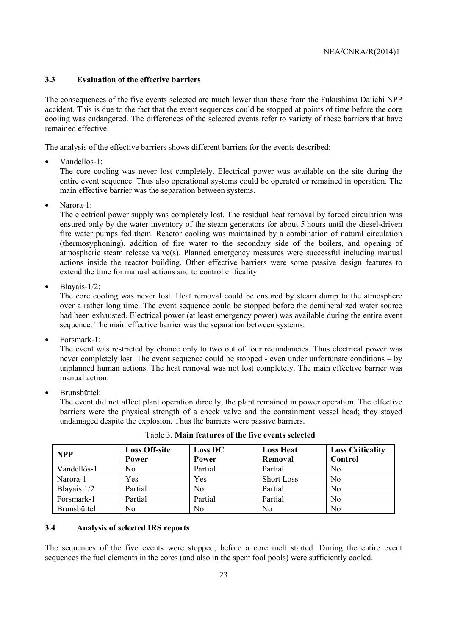## **3.3 Evaluation of the effective barriers**

The consequences of the five events selected are much lower than these from the Fukushima Daiichi NPP accident. This is due to the fact that the event sequences could be stopped at points of time before the core cooling was endangered. The differences of the selected events refer to variety of these barriers that have remained effective.

The analysis of the effective barriers shows different barriers for the events described:

• Vandellos-1:

The core cooling was never lost completely. Electrical power was available on the site during the entire event sequence. Thus also operational systems could be operated or remained in operation. The main effective barrier was the separation between systems.

• Narora-1:

The electrical power supply was completely lost. The residual heat removal by forced circulation was ensured only by the water inventory of the steam generators for about 5 hours until the diesel-driven fire water pumps fed them. Reactor cooling was maintained by a combination of natural circulation (thermosyphoning), addition of fire water to the secondary side of the boilers, and opening of atmospheric steam release valve(s). Planned emergency measures were successful including manual actions inside the reactor building. Other effective barriers were some passive design features to extend the time for manual actions and to control criticality.

 $\bullet$  Blayais-1/2:

The core cooling was never lost. Heat removal could be ensured by steam dump to the atmosphere over a rather long time. The event sequence could be stopped before the demineralized water source had been exhausted. Electrical power (at least emergency power) was available during the entire event sequence. The main effective barrier was the separation between systems.

• Forsmark-1:

The event was restricted by chance only to two out of four redundancies. Thus electrical power was never completely lost. The event sequence could be stopped - even under unfortunate conditions – by unplanned human actions. The heat removal was not lost completely. The main effective barrier was manual action.

• Brunsbüttel:

The event did not affect plant operation directly, the plant remained in power operation. The effective barriers were the physical strength of a check valve and the containment vessel head; they stayed undamaged despite the explosion. Thus the barriers were passive barriers.

| <b>NPP</b>         | <b>Loss Off-site</b><br>Power | <b>Loss DC</b><br>Power | <b>Loss Heat</b><br>Removal | <b>Loss Criticality</b><br>Control |
|--------------------|-------------------------------|-------------------------|-----------------------------|------------------------------------|
| Vandellós-1        | No                            | Partial                 | Partial                     | No                                 |
| Narora-1           | Yes                           | Yes                     | <b>Short Loss</b>           | No                                 |
| Blayais 1/2        | Partial                       | No                      | Partial                     | No                                 |
| Forsmark-1         | Partial                       | Partial                 | Partial                     | No                                 |
| <b>Brunsbüttel</b> | No                            | N <sub>0</sub>          | No                          | No                                 |

Table 3. **Main features of the five events selected**

#### **3.4 Analysis of selected IRS reports**

The sequences of the five events were stopped, before a core melt started. During the entire event sequences the fuel elements in the cores (and also in the spent fool pools) were sufficiently cooled.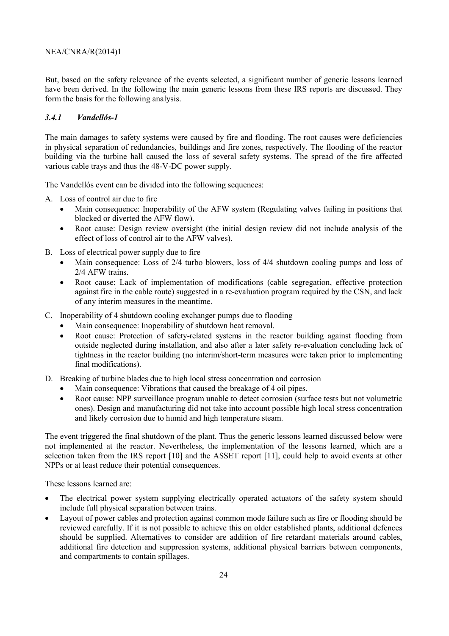But, based on the safety relevance of the events selected, a significant number of generic lessons learned have been derived. In the following the main generic lessons from these IRS reports are discussed. They form the basis for the following analysis.

## *3.4.1 Vandellós-1*

The main damages to safety systems were caused by fire and flooding. The root causes were deficiencies in physical separation of redundancies, buildings and fire zones, respectively. The flooding of the reactor building via the turbine hall caused the loss of several safety systems. The spread of the fire affected various cable trays and thus the 48-V-DC power supply.

The Vandellós event can be divided into the following sequences:

A. Loss of control air due to fire

- Main consequence: Inoperability of the AFW system (Regulating valves failing in positions that blocked or diverted the AFW flow).
- Root cause: Design review oversight (the initial design review did not include analysis of the effect of loss of control air to the AFW valves).
- B. Loss of electrical power supply due to fire
	- Main consequence: Loss of 2/4 turbo blowers, loss of 4/4 shutdown cooling pumps and loss of 2/4 AFW trains.
	- Root cause: Lack of implementation of modifications (cable segregation, effective protection against fire in the cable route) suggested in a re-evaluation program required by the CSN, and lack of any interim measures in the meantime.

C. Inoperability of 4 shutdown cooling exchanger pumps due to flooding

- Main consequence: Inoperability of shutdown heat removal.
- Root cause: Protection of safety-related systems in the reactor building against flooding from outside neglected during installation, and also after a later safety re-evaluation concluding lack of tightness in the reactor building (no interim/short-term measures were taken prior to implementing final modifications).
- D. Breaking of turbine blades due to high local stress concentration and corrosion
	- Main consequence: Vibrations that caused the breakage of 4 oil pipes.
	- Root cause: NPP surveillance program unable to detect corrosion (surface tests but not volumetric ones). Design and manufacturing did not take into account possible high local stress concentration and likely corrosion due to humid and high temperature steam.

The event triggered the final shutdown of the plant. Thus the generic lessons learned discussed below were not implemented at the reactor. Nevertheless, the implementation of the lessons learned, which are a selection taken from the IRS report [10] and the ASSET report [11], could help to avoid events at other NPPs or at least reduce their potential consequences.

These lessons learned are:

- The electrical power system supplying electrically operated actuators of the safety system should include full physical separation between trains.
- Layout of power cables and protection against common mode failure such as fire or flooding should be reviewed carefully. If it is not possible to achieve this on older established plants, additional defences should be supplied. Alternatives to consider are addition of fire retardant materials around cables, additional fire detection and suppression systems, additional physical barriers between components, and compartments to contain spillages.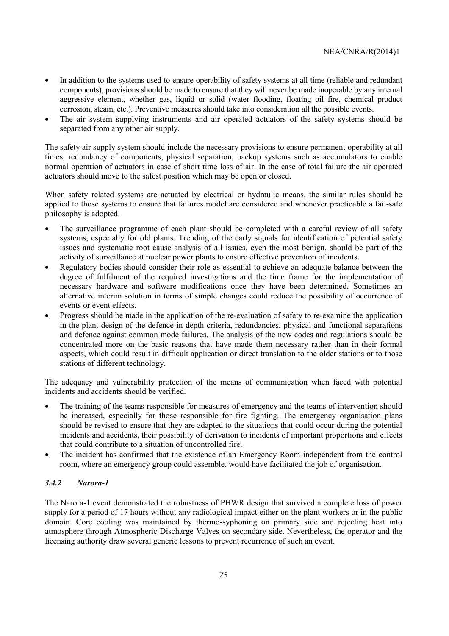- In addition to the systems used to ensure operability of safety systems at all time (reliable and redundant components), provisions should be made to ensure that they will never be made inoperable by any internal aggressive element, whether gas, liquid or solid (water flooding, floating oil fire, chemical product corrosion, steam, etc.). Preventive measures should take into consideration all the possible events.
- The air system supplying instruments and air operated actuators of the safety systems should be separated from any other air supply.

The safety air supply system should include the necessary provisions to ensure permanent operability at all times, redundancy of components, physical separation, backup systems such as accumulators to enable normal operation of actuators in case of short time loss of air. In the case of total failure the air operated actuators should move to the safest position which may be open or closed.

When safety related systems are actuated by electrical or hydraulic means, the similar rules should be applied to those systems to ensure that failures model are considered and whenever practicable a fail-safe philosophy is adopted.

- The surveillance programme of each plant should be completed with a careful review of all safety systems, especially for old plants. Trending of the early signals for identification of potential safety issues and systematic root cause analysis of all issues, even the most benign, should be part of the activity of surveillance at nuclear power plants to ensure effective prevention of incidents.
- Regulatory bodies should consider their role as essential to achieve an adequate balance between the degree of fulfilment of the required investigations and the time frame for the implementation of necessary hardware and software modifications once they have been determined. Sometimes an alternative interim solution in terms of simple changes could reduce the possibility of occurrence of events or event effects.
- Progress should be made in the application of the re-evaluation of safety to re-examine the application in the plant design of the defence in depth criteria, redundancies, physical and functional separations and defence against common mode failures. The analysis of the new codes and regulations should be concentrated more on the basic reasons that have made them necessary rather than in their formal aspects, which could result in difficult application or direct translation to the older stations or to those stations of different technology.

The adequacy and vulnerability protection of the means of communication when faced with potential incidents and accidents should be verified.

- The training of the teams responsible for measures of emergency and the teams of intervention should be increased, especially for those responsible for fire fighting. The emergency organisation plans should be revised to ensure that they are adapted to the situations that could occur during the potential incidents and accidents, their possibility of derivation to incidents of important proportions and effects that could contribute to a situation of uncontrolled fire.
- The incident has confirmed that the existence of an Emergency Room independent from the control room, where an emergency group could assemble, would have facilitated the job of organisation.

#### *3.4.2 Narora-1*

The Narora-1 event demonstrated the robustness of PHWR design that survived a complete loss of power supply for a period of 17 hours without any radiological impact either on the plant workers or in the public domain. Core cooling was maintained by thermo-syphoning on primary side and rejecting heat into atmosphere through Atmospheric Discharge Valves on secondary side. Nevertheless, the operator and the licensing authority draw several generic lessons to prevent recurrence of such an event.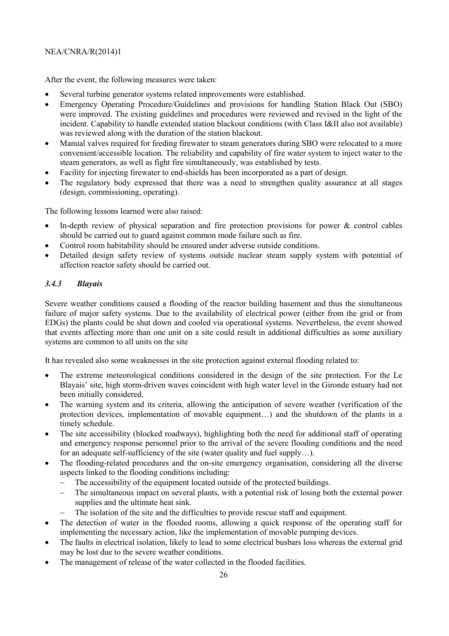After the event, the following measures were taken:

- Several turbine generator systems related improvements were established.
- Emergency Operating Procedure/Guidelines and provisions for handling Station Black Out (SBO) were improved. The existing guidelines and procedures were reviewed and revised in the light of the incident. Capability to handle extended station blackout conditions (with Class I&II also not available) was reviewed along with the duration of the station blackout.
- Manual valves required for feeding firewater to steam generators during SBO were relocated to a more convenient/accessible location. The reliability and capability of fire water system to inject water to the steam generators, as well as fight fire simultaneously, was established by tests.
- Facility for injecting firewater to end-shields has been incorporated as a part of design.
- The regulatory body expressed that there was a need to strengthen quality assurance at all stages (design, commissioning, operating).

The following lessons learned were also raised:

- In-depth review of physical separation and fire protection provisions for power  $\&$  control cables should be carried out to guard against common mode failure such as fire.
- Control room habitability should be ensured under adverse outside conditions.
- Detailed design safety review of systems outside nuclear steam supply system with potential of affection reactor safety should be carried out.

## *3.4.3 Blayais*

Severe weather conditions caused a flooding of the reactor building basement and thus the simultaneous failure of major safety systems. Due to the availability of electrical power (either from the grid or from EDGs) the plants could be shut down and cooled via operational systems. Nevertheless, the event showed that events affecting more than one unit on a site could result in additional difficulties as some auxiliary systems are common to all units on the site

It has revealed also some weaknesses in the site protection against external flooding related to:

- The extreme meteorological conditions considered in the design of the site protection. For the Le Blayais' site, high storm-driven waves coincident with high water level in the Gironde estuary had not been initially considered.
- The warning system and its criteria, allowing the anticipation of severe weather (verification of the protection devices, implementation of movable equipment…) and the shutdown of the plants in a timely schedule.
- The site accessibility (blocked roadways), highlighting both the need for additional staff of operating and emergency response personnel prior to the arrival of the severe flooding conditions and the need for an adequate self-sufficiency of the site (water quality and fuel supply…).
- The flooding-related procedures and the on-site emergency organisation, considering all the diverse aspects linked to the flooding conditions including:
	- The accessibility of the equipment located outside of the protected buildings.
	- − The simultaneous impact on several plants, with a potential risk of losing both the external power supplies and the ultimate heat sink.
	- The isolation of the site and the difficulties to provide rescue staff and equipment.
- The detection of water in the flooded rooms, allowing a quick response of the operating staff for implementing the necessary action, like the implementation of movable pumping devices.
- The faults in electrical isolation, likely to lead to some electrical busbars loss whereas the external grid may be lost due to the severe weather conditions.
- The management of release of the water collected in the flooded facilities.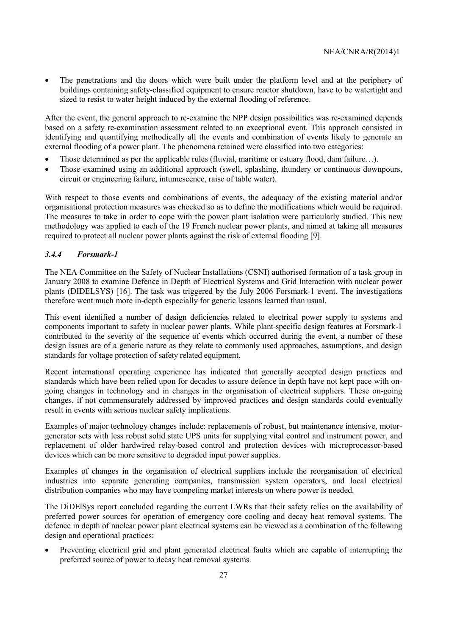• The penetrations and the doors which were built under the platform level and at the periphery of buildings containing safety-classified equipment to ensure reactor shutdown, have to be watertight and sized to resist to water height induced by the external flooding of reference.

After the event, the general approach to re-examine the NPP design possibilities was re-examined depends based on a safety re-examination assessment related to an exceptional event. This approach consisted in identifying and quantifying methodically all the events and combination of events likely to generate an external flooding of a power plant. The phenomena retained were classified into two categories:

- Those determined as per the applicable rules (fluvial, maritime or estuary flood, dam failure…).
- Those examined using an additional approach (swell, splashing, thundery or continuous downpours, circuit or engineering failure, intumescence, raise of table water).

With respect to those events and combinations of events, the adequacy of the existing material and/or organisational protection measures was checked so as to define the modifications which would be required. The measures to take in order to cope with the power plant isolation were particularly studied. This new methodology was applied to each of the 19 French nuclear power plants, and aimed at taking all measures required to protect all nuclear power plants against the risk of external flooding [9].

#### *3.4.4 Forsmark-1*

The NEA Committee on the Safety of Nuclear Installations (CSNI) authorised formation of a task group in January 2008 to examine Defence in Depth of Electrical Systems and Grid Interaction with nuclear power plants (DIDELSYS) [16]. The task was triggered by the July 2006 Forsmark-1 event. The investigations therefore went much more in-depth especially for generic lessons learned than usual.

This event identified a number of design deficiencies related to electrical power supply to systems and components important to safety in nuclear power plants. While plant-specific design features at Forsmark-1 contributed to the severity of the sequence of events which occurred during the event, a number of these design issues are of a generic nature as they relate to commonly used approaches, assumptions, and design standards for voltage protection of safety related equipment.

Recent international operating experience has indicated that generally accepted design practices and standards which have been relied upon for decades to assure defence in depth have not kept pace with ongoing changes in technology and in changes in the organisation of electrical suppliers. These on-going changes, if not commensurately addressed by improved practices and design standards could eventually result in events with serious nuclear safety implications.

Examples of major technology changes include: replacements of robust, but maintenance intensive, motorgenerator sets with less robust solid state UPS units for supplying vital control and instrument power, and replacement of older hardwired relay-based control and protection devices with microprocessor-based devices which can be more sensitive to degraded input power supplies.

Examples of changes in the organisation of electrical suppliers include the reorganisation of electrical industries into separate generating companies, transmission system operators, and local electrical distribution companies who may have competing market interests on where power is needed.

The DiDElSys report concluded regarding the current LWRs that their safety relies on the availability of preferred power sources for operation of emergency core cooling and decay heat removal systems. The defence in depth of nuclear power plant electrical systems can be viewed as a combination of the following design and operational practices:

• Preventing electrical grid and plant generated electrical faults which are capable of interrupting the preferred source of power to decay heat removal systems.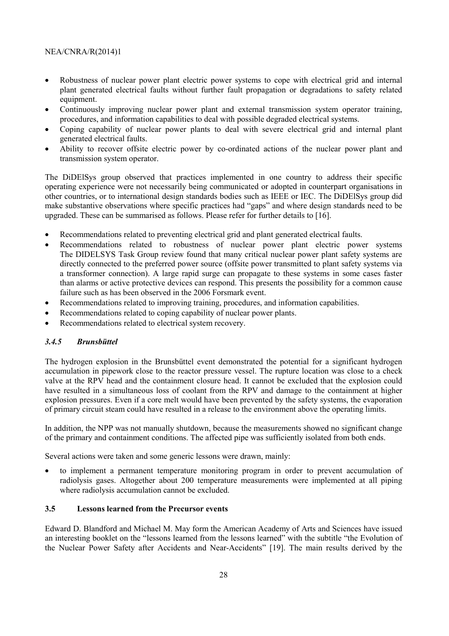- Robustness of nuclear power plant electric power systems to cope with electrical grid and internal plant generated electrical faults without further fault propagation or degradations to safety related equipment.
- Continuously improving nuclear power plant and external transmission system operator training, procedures, and information capabilities to deal with possible degraded electrical systems.
- Coping capability of nuclear power plants to deal with severe electrical grid and internal plant generated electrical faults.
- Ability to recover offsite electric power by co-ordinated actions of the nuclear power plant and transmission system operator.

The DiDElSys group observed that practices implemented in one country to address their specific operating experience were not necessarily being communicated or adopted in counterpart organisations in other countries, or to international design standards bodies such as IEEE or IEC. The DiDElSys group did make substantive observations where specific practices had "gaps" and where design standards need to be upgraded. These can be summarised as follows. Please refer for further details to [16].

- Recommendations related to preventing electrical grid and plant generated electrical faults.
- Recommendations related to robustness of nuclear power plant electric power systems The DIDELSYS Task Group review found that many critical nuclear power plant safety systems are directly connected to the preferred power source (offsite power transmitted to plant safety systems via a transformer connection). A large rapid surge can propagate to these systems in some cases faster than alarms or active protective devices can respond. This presents the possibility for a common cause failure such as has been observed in the 2006 Forsmark event.
- Recommendations related to improving training, procedures, and information capabilities.
- Recommendations related to coping capability of nuclear power plants.
- Recommendations related to electrical system recovery.

#### *3.4.5 Brunsbüttel*

The hydrogen explosion in the Brunsbüttel event demonstrated the potential for a significant hydrogen accumulation in pipework close to the reactor pressure vessel. The rupture location was close to a check valve at the RPV head and the containment closure head. It cannot be excluded that the explosion could have resulted in a simultaneous loss of coolant from the RPV and damage to the containment at higher explosion pressures. Even if a core melt would have been prevented by the safety systems, the evaporation of primary circuit steam could have resulted in a release to the environment above the operating limits.

In addition, the NPP was not manually shutdown, because the measurements showed no significant change of the primary and containment conditions. The affected pipe was sufficiently isolated from both ends.

Several actions were taken and some generic lessons were drawn, mainly:

• to implement a permanent temperature monitoring program in order to prevent accumulation of radiolysis gases. Altogether about 200 temperature measurements were implemented at all piping where radiolysis accumulation cannot be excluded.

## **3.5 Lessons learned from the Precursor events**

Edward D. Blandford and Michael M. May form the American Academy of Arts and Sciences have issued an interesting booklet on the "lessons learned from the lessons learned" with the subtitle "the Evolution of the Nuclear Power Safety after Accidents and Near-Accidents" [19]. The main results derived by the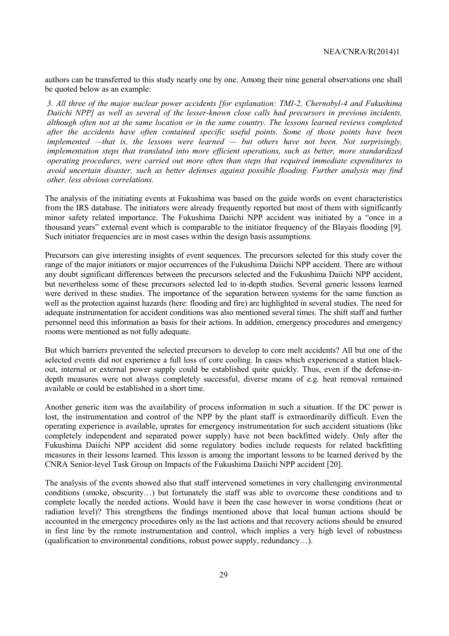authors can be transferred to this study nearly one by one. Among their nine general observations one shall be quoted below as an example:

*3. All three of the major nuclear power accidents [for explanation: TMI-2, Chernobyl-4 and Fukushima Daiichi NPP] as well as several of the lesser-known close calls had precursors in previous incidents, although often not at the same location or in the same country. The lessons learned reviews completed after the accidents have often contained specific useful points. Some of those points have been implemented —that is, the lessons were learned — but others have not been. Not surprisingly, implementation steps that translated into more efficient operations, such as better, more standardized operating procedures, were carried out more often than steps that required immediate expenditures to avoid uncertain disaster, such as better defenses against possible flooding. Further analysis may find other, less obvious correlations.* 

The analysis of the initiating events at Fukushima was based on the guide words on event characteristics from the IRS database. The initiators were already frequently reported but most of them with significantly minor safety related importance. The Fukushima Daiichi NPP accident was initiated by a "once in a thousand years" external event which is comparable to the initiator frequency of the Blayais flooding [9]. Such initiator frequencies are in most cases within the design basis assumptions.

Precursors can give interesting insights of event sequences. The precursors selected for this study cover the range of the major initiators or major occurrences of the Fukushima Daiichi NPP accident. There are without any doubt significant differences between the precursors selected and the Fukushima Daiichi NPP accident, but nevertheless some of these precursors selected led to in-depth studies. Several generic lessons learned were derived in these studies. The importance of the separation between systems for the same function as well as the protection against hazards (here: flooding and fire) are highlighted in several studies. The need for adequate instrumentation for accident conditions was also mentioned several times. The shift staff and further personnel need this information as basis for their actions. In addition, emergency procedures and emergency rooms were mentioned as not fully adequate.

But which barriers prevented the selected precursors to develop to core melt accidents? All but one of the selected events did not experience a full loss of core cooling. In cases which experienced a station blackout, internal or external power supply could be established quite quickly. Thus, even if the defense-indepth measures were not always completely successful, diverse means of e.g. heat removal remained available or could be established in a short time.

Another generic item was the availability of process information in such a situation. If the DC power is lost, the instrumentation and control of the NPP by the plant staff is extraordinarily difficult. Even the operating experience is available, uprates for emergency instrumentation for such accident situations (like completely independent and separated power supply) have not been backfitted widely. Only after the Fukushima Daiichi NPP accident did some regulatory bodies include requests for related backfitting measures in their lessons learned. This lesson is among the important lessons to be learned derived by the CNRA Senior-level Task Group on Impacts of the Fukushima Daiichi NPP accident [20].

The analysis of the events showed also that staff intervened sometimes in very challenging environmental conditions (smoke, obscurity…) but fortunately the staff was able to overcome these conditions and to complete locally the needed actions. Would have it been the case however in worse conditions (heat or radiation level)? This strengthens the findings mentioned above that local human actions should be accounted in the emergency procedures only as the last actions and that recovery actions should be ensured in first line by the remote instrumentation and control, which implies a very high level of robustness (qualification to environmental conditions, robust power supply, redundancy…).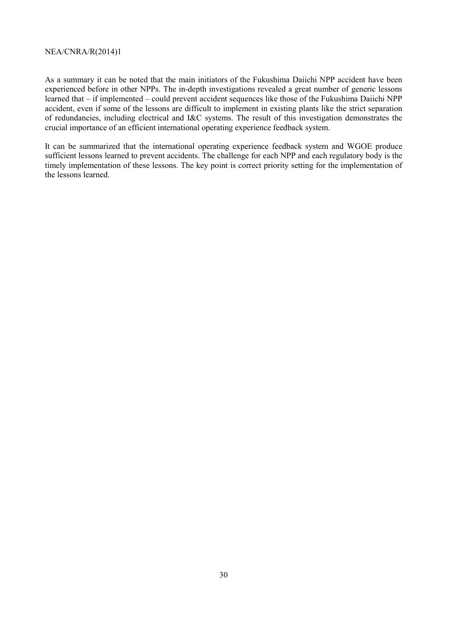As a summary it can be noted that the main initiators of the Fukushima Daiichi NPP accident have been experienced before in other NPPs. The in-depth investigations revealed a great number of generic lessons learned that – if implemented – could prevent accident sequences like those of the Fukushima Daiichi NPP accident, even if some of the lessons are difficult to implement in existing plants like the strict separation of redundancies, including electrical and I&C systems. The result of this investigation demonstrates the crucial importance of an efficient international operating experience feedback system.

It can be summarized that the international operating experience feedback system and WGOE produce sufficient lessons learned to prevent accidents. The challenge for each NPP and each regulatory body is the timely implementation of these lessons. The key point is correct priority setting for the implementation of the lessons learned.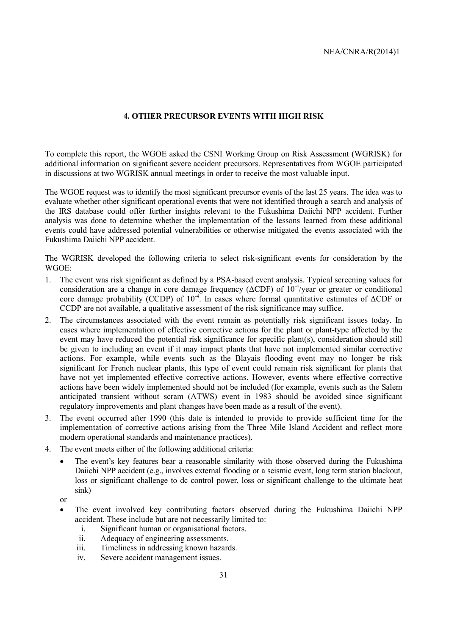## **4. OTHER PRECURSOR EVENTS WITH HIGH RISK**

To complete this report, the WGOE asked the CSNI Working Group on Risk Assessment (WGRISK) for additional information on significant severe accident precursors. Representatives from WGOE participated in discussions at two WGRISK annual meetings in order to receive the most valuable input.

The WGOE request was to identify the most significant precursor events of the last 25 years. The idea was to evaluate whether other significant operational events that were not identified through a search and analysis of the IRS database could offer further insights relevant to the Fukushima Daiichi NPP accident. Further analysis was done to determine whether the implementation of the lessons learned from these additional events could have addressed potential vulnerabilities or otherwise mitigated the events associated with the Fukushima Daiichi NPP accident.

The WGRISK developed the following criteria to select risk-significant events for consideration by the WGOE:

- 1. The event was risk significant as defined by a PSA-based event analysis. Typical screening values for consideration are a change in core damage frequency ( $\triangle CDF$ ) of  $10^{-4}/year$  or greater or conditional core damage probability (CCDP) of 10<sup>-4</sup>. In cases where formal quantitative estimates of ∆CDF or CCDP are not available, a qualitative assessment of the risk significance may suffice.
- 2. The circumstances associated with the event remain as potentially risk significant issues today. In cases where implementation of effective corrective actions for the plant or plant-type affected by the event may have reduced the potential risk significance for specific plant(s), consideration should still be given to including an event if it may impact plants that have not implemented similar corrective actions. For example, while events such as the Blayais flooding event may no longer be risk significant for French nuclear plants, this type of event could remain risk significant for plants that have not yet implemented effective corrective actions. However, events where effective corrective actions have been widely implemented should not be included (for example, events such as the Salem anticipated transient without scram (ATWS) event in 1983 should be avoided since significant regulatory improvements and plant changes have been made as a result of the event).
- 3. The event occurred after 1990 (this date is intended to provide to provide sufficient time for the implementation of corrective actions arising from the Three Mile Island Accident and reflect more modern operational standards and maintenance practices).
- 4. The event meets either of the following additional criteria:
	- The event's key features bear a reasonable similarity with those observed during the Fukushima Daiichi NPP accident (e.g., involves external flooding or a seismic event, long term station blackout, loss or significant challenge to dc control power, loss or significant challenge to the ultimate heat sink)
	- or
	- The event involved key contributing factors observed during the Fukushima Daiichi NPP accident. These include but are not necessarily limited to:
		- i. Significant human or organisational factors.
		- ii. Adequacy of engineering assessments.
		- iii. Timeliness in addressing known hazards.
		- iv. Severe accident management issues.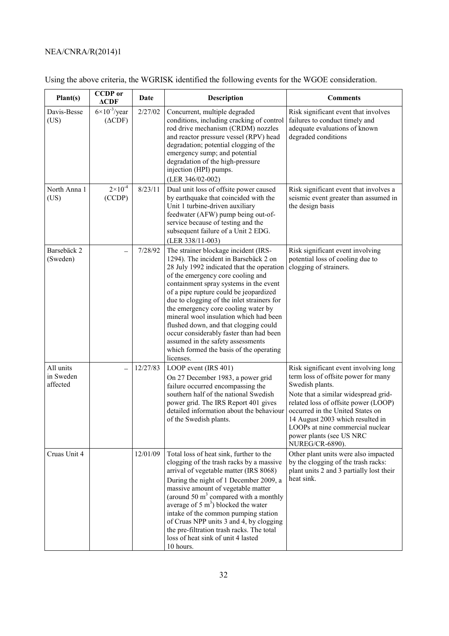| Plant(s)                           | <b>CCDP</b> or<br>$\triangle$ CDF        | Date     | Description                                                                                                                                                                                                                                                                                                                                                                                                                                                                                                                                                         | <b>Comments</b>                                                                                                                                                                                                                                                                                                                            |
|------------------------------------|------------------------------------------|----------|---------------------------------------------------------------------------------------------------------------------------------------------------------------------------------------------------------------------------------------------------------------------------------------------------------------------------------------------------------------------------------------------------------------------------------------------------------------------------------------------------------------------------------------------------------------------|--------------------------------------------------------------------------------------------------------------------------------------------------------------------------------------------------------------------------------------------------------------------------------------------------------------------------------------------|
| Davis-Besse<br>(US)                | $6\times10^{-3}$ /year<br>$(\Delta CDF)$ | 2/27/02  | Concurrent, multiple degraded<br>conditions, including cracking of control<br>rod drive mechanism (CRDM) nozzles<br>and reactor pressure vessel (RPV) head<br>degradation; potential clogging of the<br>emergency sump; and potential<br>degradation of the high-pressure<br>injection (HPI) pumps.<br>(LER 346/02-002)                                                                                                                                                                                                                                             | Risk significant event that involves<br>failures to conduct timely and<br>adequate evaluations of known<br>degraded conditions                                                                                                                                                                                                             |
| North Anna 1<br>(US)               | $2\times10^{\text{-}4}$<br>(CCDP)        | 8/23/11  | Dual unit loss of offsite power caused<br>by earthquake that coincided with the<br>Unit 1 turbine-driven auxiliary<br>feedwater (AFW) pump being out-of-<br>service because of testing and the<br>subsequent failure of a Unit 2 EDG.<br>(LER 338/11-003)                                                                                                                                                                                                                                                                                                           | Risk significant event that involves a<br>seismic event greater than assumed in<br>the design basis                                                                                                                                                                                                                                        |
| Barsebäck 2<br>(Sweden)            |                                          | 7/28/92  | The strainer blockage incident (IRS-<br>1294). The incident in Barsebäck 2 on<br>28 July 1992 indicated that the operation<br>of the emergency core cooling and<br>containment spray systems in the event<br>of a pipe rupture could be jeopardized<br>due to clogging of the inlet strainers for<br>the emergency core cooling water by<br>mineral wool insulation which had been<br>flushed down, and that clogging could<br>occur considerably faster than had been<br>assumed in the safety assessments<br>which formed the basis of the operating<br>licenses. | Risk significant event involving<br>potential loss of cooling due to<br>clogging of strainers.                                                                                                                                                                                                                                             |
| All units<br>in Sweden<br>affected |                                          | 12/27/83 | LOOP event (IRS 401)<br>On 27 December 1983, a power grid<br>failure occurred encompassing the<br>southern half of the national Swedish<br>power grid. The IRS Report 401 gives<br>detailed information about the behaviour<br>of the Swedish plants.                                                                                                                                                                                                                                                                                                               | Risk significant event involving long<br>term loss of offsite power for many<br>Swedish plants.<br>Note that a similar widespread grid-<br>related loss of offsite power (LOOP)<br>occurred in the United States on<br>14 August 2003 which resulted in<br>LOOPs at nine commercial nuclear<br>power plants (see US NRC<br>NUREG/CR-6890). |
| Cruas Unit 4                       |                                          | 12/01/09 | Total loss of heat sink, further to the<br>clogging of the trash racks by a massive<br>arrival of vegetable matter (IRS 8068)<br>During the night of 1 December 2009, a<br>massive amount of vegetable matter<br>(around 50 $m3$ compared with a monthly<br>average of 5 $m3$ ) blocked the water<br>intake of the common pumping station<br>of Cruas NPP units 3 and 4, by clogging<br>the pre-filtration trash racks. The total<br>loss of heat sink of unit 4 lasted<br>10 hours.                                                                                | Other plant units were also impacted<br>by the clogging of the trash racks:<br>plant units 2 and 3 partially lost their<br>heat sink.                                                                                                                                                                                                      |

Using the above criteria, the WGRISK identified the following events for the WGOE consideration.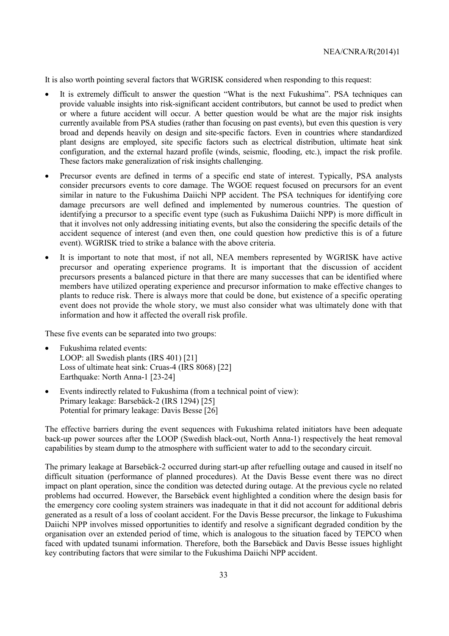It is also worth pointing several factors that WGRISK considered when responding to this request:

- It is extremely difficult to answer the question "What is the next Fukushima". PSA techniques can provide valuable insights into risk-significant accident contributors, but cannot be used to predict when or where a future accident will occur. A better question would be what are the major risk insights currently available from PSA studies (rather than focusing on past events), but even this question is very broad and depends heavily on design and site-specific factors. Even in countries where standardized plant designs are employed, site specific factors such as electrical distribution, ultimate heat sink configuration, and the external hazard profile (winds, seismic, flooding, etc.), impact the risk profile. These factors make generalization of risk insights challenging.
- Precursor events are defined in terms of a specific end state of interest. Typically, PSA analysts consider precursors events to core damage. The WGOE request focused on precursors for an event similar in nature to the Fukushima Daiichi NPP accident. The PSA techniques for identifying core damage precursors are well defined and implemented by numerous countries. The question of identifying a precursor to a specific event type (such as Fukushima Daiichi NPP) is more difficult in that it involves not only addressing initiating events, but also the considering the specific details of the accident sequence of interest (and even then, one could question how predictive this is of a future event). WGRISK tried to strike a balance with the above criteria.
- It is important to note that most, if not all, NEA members represented by WGRISK have active precursor and operating experience programs. It is important that the discussion of accident precursors presents a balanced picture in that there are many successes that can be identified where members have utilized operating experience and precursor information to make effective changes to plants to reduce risk. There is always more that could be done, but existence of a specific operating event does not provide the whole story, we must also consider what was ultimately done with that information and how it affected the overall risk profile.

These five events can be separated into two groups:

- Fukushima related events: LOOP: all Swedish plants (IRS 401) [21] Loss of ultimate heat sink: Cruas-4 (IRS 8068) [22] Earthquake: North Anna-1 [23-24]
- Events indirectly related to Fukushima (from a technical point of view): Primary leakage: Barsebäck-2 (IRS 1294) [25] Potential for primary leakage: Davis Besse [26]

The effective barriers during the event sequences with Fukushima related initiators have been adequate back-up power sources after the LOOP (Swedish black-out, North Anna-1) respectively the heat removal capabilities by steam dump to the atmosphere with sufficient water to add to the secondary circuit.

The primary leakage at Barsebäck-2 occurred during start-up after refuelling outage and caused in itself no difficult situation (performance of planned procedures). At the Davis Besse event there was no direct impact on plant operation, since the condition was detected during outage. At the previous cycle no related problems had occurred. However, the Barsebäck event highlighted a condition where the design basis for the emergency core cooling system strainers was inadequate in that it did not account for additional debris generated as a result of a loss of coolant accident. For the Davis Besse precursor, the linkage to Fukushima Daiichi NPP involves missed opportunities to identify and resolve a significant degraded condition by the organisation over an extended period of time, which is analogous to the situation faced by TEPCO when faced with updated tsunami information. Therefore, both the Barsebäck and Davis Besse issues highlight key contributing factors that were similar to the Fukushima Daiichi NPP accident.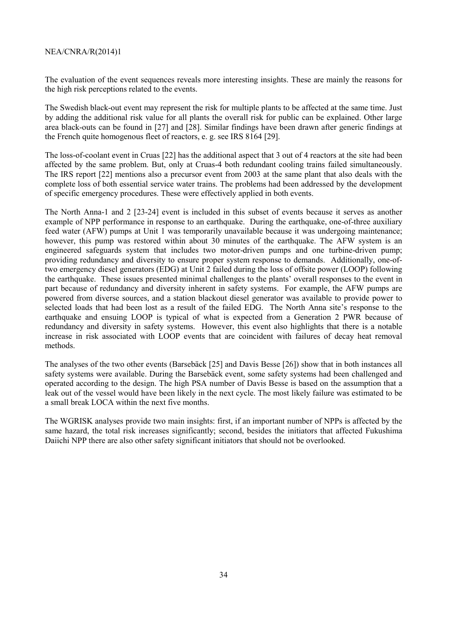The evaluation of the event sequences reveals more interesting insights. These are mainly the reasons for the high risk perceptions related to the events.

The Swedish black-out event may represent the risk for multiple plants to be affected at the same time. Just by adding the additional risk value for all plants the overall risk for public can be explained. Other large area black-outs can be found in [27] and [28]. Similar findings have been drawn after generic findings at the French quite homogenous fleet of reactors, e. g. see IRS 8164 [29].

The loss-of-coolant event in Cruas [22] has the additional aspect that 3 out of 4 reactors at the site had been affected by the same problem. But, only at Cruas-4 both redundant cooling trains failed simultaneously. The IRS report [22] mentions also a precursor event from 2003 at the same plant that also deals with the complete loss of both essential service water trains. The problems had been addressed by the development of specific emergency procedures. These were effectively applied in both events.

The North Anna-1 and 2 [23-24] event is included in this subset of events because it serves as another example of NPP performance in response to an earthquake. During the earthquake, one-of-three auxiliary feed water (AFW) pumps at Unit 1 was temporarily unavailable because it was undergoing maintenance; however, this pump was restored within about 30 minutes of the earthquake. The AFW system is an engineered safeguards system that includes two motor-driven pumps and one turbine-driven pump; providing redundancy and diversity to ensure proper system response to demands. Additionally, one-oftwo emergency diesel generators (EDG) at Unit 2 failed during the loss of offsite power (LOOP) following the earthquake. These issues presented minimal challenges to the plants' overall responses to the event in part because of redundancy and diversity inherent in safety systems. For example, the AFW pumps are powered from diverse sources, and a station blackout diesel generator was available to provide power to selected loads that had been lost as a result of the failed EDG. The North Anna site's response to the earthquake and ensuing LOOP is typical of what is expected from a Generation 2 PWR because of redundancy and diversity in safety systems. However, this event also highlights that there is a notable increase in risk associated with LOOP events that are coincident with failures of decay heat removal methods.

The analyses of the two other events (Barsebäck [25] and Davis Besse [26]) show that in both instances all safety systems were available. During the Barsebäck event, some safety systems had been challenged and operated according to the design. The high PSA number of Davis Besse is based on the assumption that a leak out of the vessel would have been likely in the next cycle. The most likely failure was estimated to be a small break LOCA within the next five months.

The WGRISK analyses provide two main insights: first, if an important number of NPPs is affected by the same hazard, the total risk increases significantly; second, besides the initiators that affected Fukushima Daiichi NPP there are also other safety significant initiators that should not be overlooked.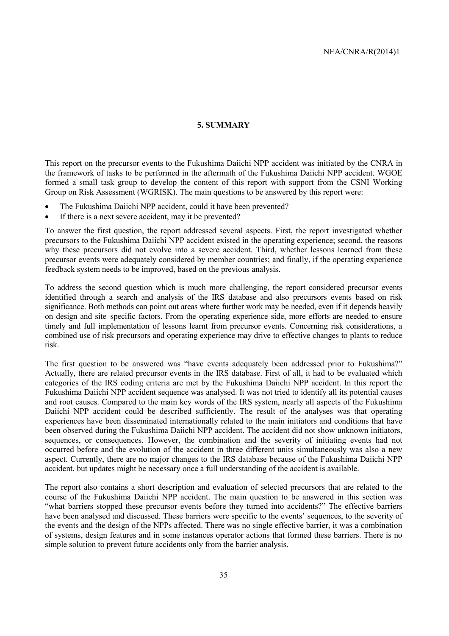#### **5. SUMMARY**

This report on the precursor events to the Fukushima Daiichi NPP accident was initiated by the CNRA in the framework of tasks to be performed in the aftermath of the Fukushima Daiichi NPP accident. WGOE formed a small task group to develop the content of this report with support from the CSNI Working Group on Risk Assessment (WGRISK). The main questions to be answered by this report were:

- The Fukushima Daiichi NPP accident, could it have been prevented?
- If there is a next severe accident, may it be prevented?

To answer the first question, the report addressed several aspects. First, the report investigated whether precursors to the Fukushima Daiichi NPP accident existed in the operating experience; second, the reasons why these precursors did not evolve into a severe accident. Third, whether lessons learned from these precursor events were adequately considered by member countries; and finally, if the operating experience feedback system needs to be improved, based on the previous analysis.

To address the second question which is much more challenging, the report considered precursor events identified through a search and analysis of the IRS database and also precursors events based on risk significance. Both methods can point out areas where further work may be needed, even if it depends heavily on design and site–specific factors. From the operating experience side, more efforts are needed to ensure timely and full implementation of lessons learnt from precursor events. Concerning risk considerations, a combined use of risk precursors and operating experience may drive to effective changes to plants to reduce risk.

The first question to be answered was "have events adequately been addressed prior to Fukushima?" Actually, there are related precursor events in the IRS database. First of all, it had to be evaluated which categories of the IRS coding criteria are met by the Fukushima Daiichi NPP accident. In this report the Fukushima Daiichi NPP accident sequence was analysed. It was not tried to identify all its potential causes and root causes. Compared to the main key words of the IRS system, nearly all aspects of the Fukushima Daiichi NPP accident could be described sufficiently. The result of the analyses was that operating experiences have been disseminated internationally related to the main initiators and conditions that have been observed during the Fukushima Daiichi NPP accident. The accident did not show unknown initiators, sequences, or consequences. However, the combination and the severity of initiating events had not occurred before and the evolution of the accident in three different units simultaneously was also a new aspect. Currently, there are no major changes to the IRS database because of the Fukushima Daiichi NPP accident, but updates might be necessary once a full understanding of the accident is available.

The report also contains a short description and evaluation of selected precursors that are related to the course of the Fukushima Daiichi NPP accident. The main question to be answered in this section was "what barriers stopped these precursor events before they turned into accidents?" The effective barriers have been analysed and discussed. These barriers were specific to the events' sequences, to the severity of the events and the design of the NPPs affected. There was no single effective barrier, it was a combination of systems, design features and in some instances operator actions that formed these barriers. There is no simple solution to prevent future accidents only from the barrier analysis.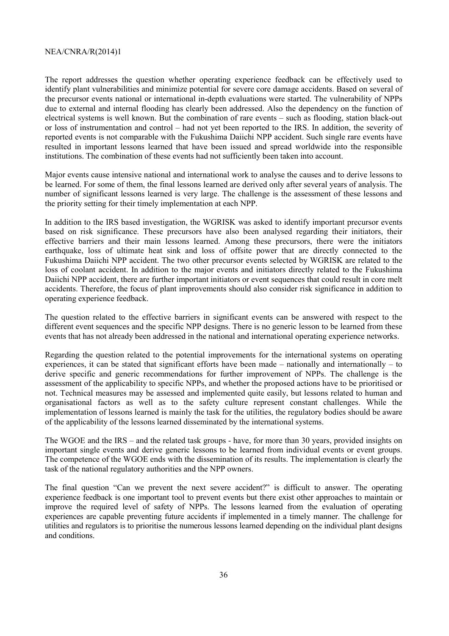The report addresses the question whether operating experience feedback can be effectively used to identify plant vulnerabilities and minimize potential for severe core damage accidents. Based on several of the precursor events national or international in-depth evaluations were started. The vulnerability of NPPs due to external and internal flooding has clearly been addressed. Also the dependency on the function of electrical systems is well known. But the combination of rare events – such as flooding, station black-out or loss of instrumentation and control – had not yet been reported to the IRS. In addition, the severity of reported events is not comparable with the Fukushima Daiichi NPP accident. Such single rare events have resulted in important lessons learned that have been issued and spread worldwide into the responsible institutions. The combination of these events had not sufficiently been taken into account.

Major events cause intensive national and international work to analyse the causes and to derive lessons to be learned. For some of them, the final lessons learned are derived only after several years of analysis. The number of significant lessons learned is very large. The challenge is the assessment of these lessons and the priority setting for their timely implementation at each NPP.

In addition to the IRS based investigation, the WGRISK was asked to identify important precursor events based on risk significance. These precursors have also been analysed regarding their initiators, their effective barriers and their main lessons learned. Among these precursors, there were the initiators earthquake, loss of ultimate heat sink and loss of offsite power that are directly connected to the Fukushima Daiichi NPP accident. The two other precursor events selected by WGRISK are related to the loss of coolant accident. In addition to the major events and initiators directly related to the Fukushima Daiichi NPP accident, there are further important initiators or event sequences that could result in core melt accidents. Therefore, the focus of plant improvements should also consider risk significance in addition to operating experience feedback.

The question related to the effective barriers in significant events can be answered with respect to the different event sequences and the specific NPP designs. There is no generic lesson to be learned from these events that has not already been addressed in the national and international operating experience networks.

Regarding the question related to the potential improvements for the international systems on operating experiences, it can be stated that significant efforts have been made – nationally and internationally – to derive specific and generic recommendations for further improvement of NPPs. The challenge is the assessment of the applicability to specific NPPs, and whether the proposed actions have to be prioritised or not. Technical measures may be assessed and implemented quite easily, but lessons related to human and organisational factors as well as to the safety culture represent constant challenges. While the implementation of lessons learned is mainly the task for the utilities, the regulatory bodies should be aware of the applicability of the lessons learned disseminated by the international systems.

The WGOE and the IRS – and the related task groups - have, for more than 30 years, provided insights on important single events and derive generic lessons to be learned from individual events or event groups. The competence of the WGOE ends with the dissemination of its results. The implementation is clearly the task of the national regulatory authorities and the NPP owners.

The final question "Can we prevent the next severe accident?" is difficult to answer. The operating experience feedback is one important tool to prevent events but there exist other approaches to maintain or improve the required level of safety of NPPs. The lessons learned from the evaluation of operating experiences are capable preventing future accidents if implemented in a timely manner. The challenge for utilities and regulators is to prioritise the numerous lessons learned depending on the individual plant designs and conditions.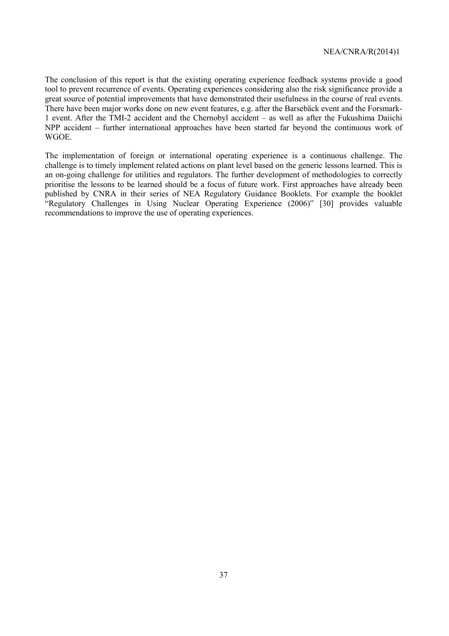The conclusion of this report is that the existing operating experience feedback systems provide a good tool to prevent recurrence of events. Operating experiences considering also the risk significance provide a great source of potential improvements that have demonstrated their usefulness in the course of real events. There have been major works done on new event features, e.g. after the Barsebäck event and the Forsmark-1 event. After the TMI-2 accident and the Chernobyl accident – as well as after the Fukushima Daiichi NPP accident – further international approaches have been started far beyond the continuous work of WGOE.

The implementation of foreign or international operating experience is a continuous challenge. The challenge is to timely implement related actions on plant level based on the generic lessons learned. This is an on-going challenge for utilities and regulators. The further development of methodologies to correctly prioritise the lessons to be learned should be a focus of future work. First approaches have already been published by CNRA in their series of NEA Regulatory Guidance Booklets. For example the booklet "Regulatory Challenges in Using Nuclear Operating Experience (2006)" [30] provides valuable recommendations to improve the use of operating experiences.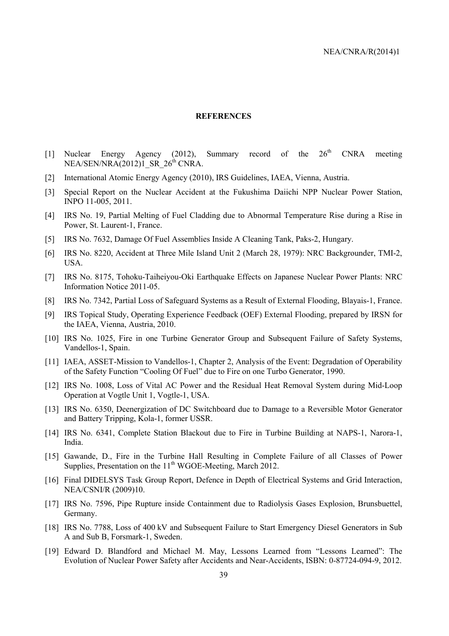#### **REFERENCES**

- [1] Nuclear Energy Agency (2012), Summary record of the  $26<sup>th</sup>$  CNRA meeting  $NEA/SEN/NRA(2012)1$  SR  $26<sup>th</sup> CNRA$ .
- [2] International Atomic Energy Agency (2010), IRS Guidelines, IAEA, Vienna, Austria.
- [3] Special Report on the Nuclear Accident at the Fukushima Daiichi NPP Nuclear Power Station, INPO 11-005, 2011.
- [4] IRS No. 19, Partial Melting of Fuel Cladding due to Abnormal Temperature Rise during a Rise in Power, St. Laurent-1, France.
- [5] IRS No. 7632, Damage Of Fuel Assemblies Inside A Cleaning Tank, Paks-2, Hungary.
- [6] IRS No. 8220, Accident at Three Mile Island Unit 2 (March 28, 1979): NRC Backgrounder, TMI-2, USA.
- [7] IRS No. 8175, Tohoku-Taiheiyou-Oki Earthquake Effects on Japanese Nuclear Power Plants: NRC Information Notice 2011-05.
- [8] IRS No. 7342, Partial Loss of Safeguard Systems as a Result of External Flooding, Blayais-1, France.
- [9] IRS Topical Study, Operating Experience Feedback (OEF) External Flooding, prepared by IRSN for the IAEA, Vienna, Austria, 2010.
- [10] IRS No. 1025, Fire in one Turbine Generator Group and Subsequent Failure of Safety Systems, Vandellos-1, Spain.
- [11] IAEA, ASSET-Mission to Vandellos-1, Chapter 2, Analysis of the Event: Degradation of Operability of the Safety Function "Cooling Of Fuel" due to Fire on one Turbo Generator, 1990.
- [12] IRS No. 1008, Loss of Vital AC Power and the Residual Heat Removal System during Mid-Loop Operation at Vogtle Unit 1, Vogtle-1, USA.
- [13] IRS No. 6350, Deenergization of DC Switchboard due to Damage to a Reversible Motor Generator and Battery Tripping, Kola-1, former USSR.
- [14] IRS No. 6341, Complete Station Blackout due to Fire in Turbine Building at NAPS-1, Narora-1, India.
- [15] Gawande, D., Fire in the Turbine Hall Resulting in Complete Failure of all Classes of Power Supplies, Presentation on the  $11<sup>th</sup>$  WGOE-Meeting, March 2012.
- [16] Final DIDELSYS Task Group Report, Defence in Depth of Electrical Systems and Grid Interaction, NEA/CSNI/R (2009)10.
- [17] IRS No. 7596, Pipe Rupture inside Containment due to Radiolysis Gases Explosion, Brunsbuettel, Germany.
- [18] IRS No. 7788, Loss of 400 kV and Subsequent Failure to Start Emergency Diesel Generators in Sub A and Sub B, Forsmark-1, Sweden.
- [19] Edward D. Blandford and Michael M. May, Lessons Learned from "Lessons Learned": The Evolution of Nuclear Power Safety after Accidents and Near-Accidents, ISBN: 0-87724-094-9, 2012.